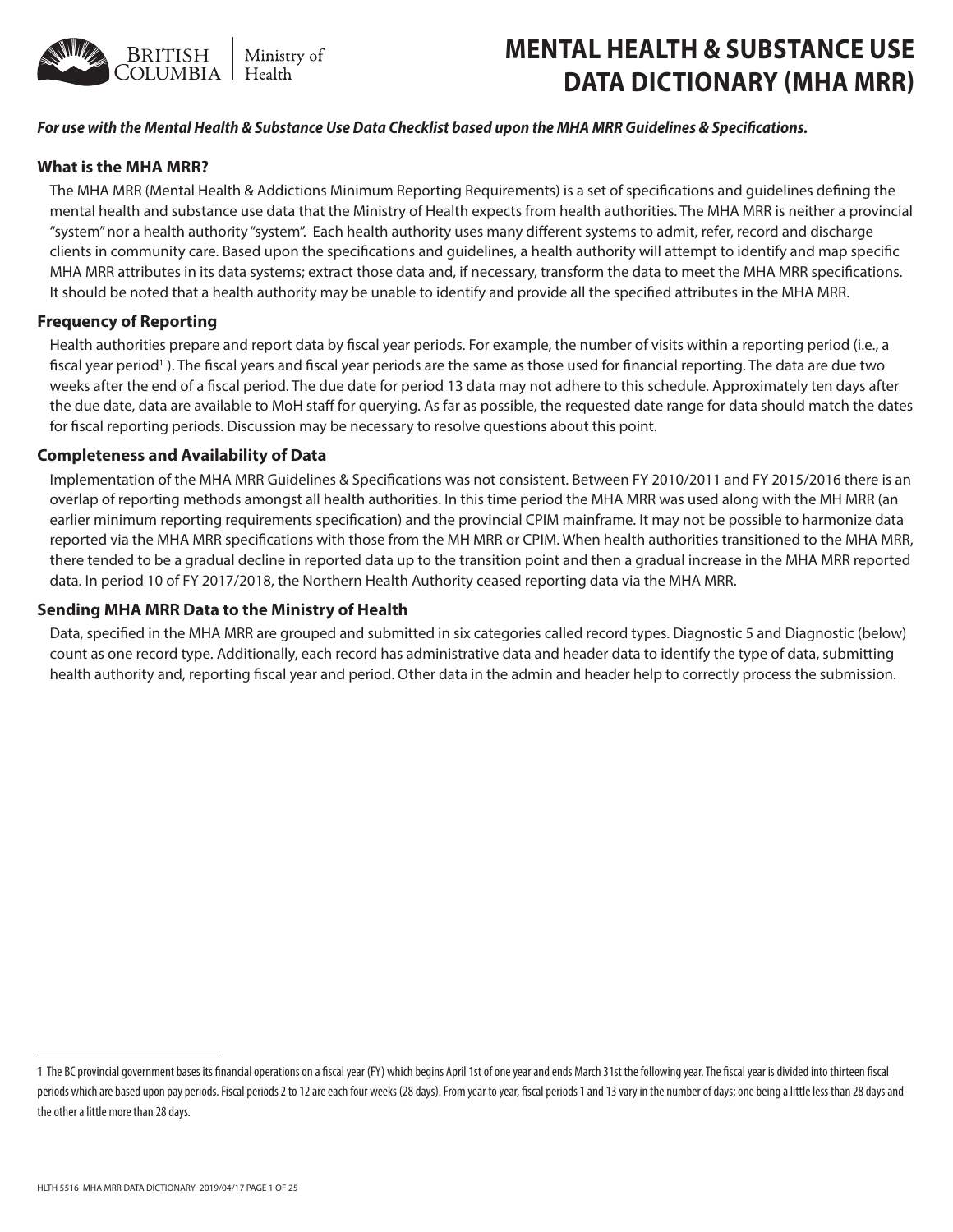

# **MENTAL HEALTH & SUBSTANCE USE DATA DICTIONARY (MHA MRR)**

## *For use with the Mental Health & Substance Use Data Checklist based upon the MHA MRR Guidelines & Specifications.*

## **What is the MHA MRR?**

The MHA MRR (Mental Health & Addictions Minimum Reporting Requirements) is a set of specifications and guidelines defining the mental health and substance use data that the Ministry of Health expects from health authorities. The MHA MRR is neither a provincial "system" nor a health authority "system". Each health authority uses many different systems to admit, refer, record and discharge clients in community care. Based upon the specifications and guidelines, a health authority will attempt to identify and map specific MHA MRR attributes in its data systems; extract those data and, if necessary, transform the data to meet the MHA MRR specifications. It should be noted that a health authority may be unable to identify and provide all the specified attributes in the MHA MRR.

## **Frequency of Reporting**

Health authorities prepare and report data by fiscal year periods. For example, the number of visits within a reporting period (i.e., a fiscal year period<sup>1</sup>). The fiscal years and fiscal year periods are the same as those used for financial reporting. The data are due two weeks after the end of a fiscal period. The due date for period 13 data may not adhere to this schedule. Approximately ten days after the due date, data are available to MoH staff for querying. As far as possible, the requested date range for data should match the dates for fiscal reporting periods. Discussion may be necessary to resolve questions about this point.

#### **Completeness and Availability of Data**

Implementation of the MHA MRR Guidelines & Specifications was not consistent. Between FY 2010/2011 and FY 2015/2016 there is an overlap of reporting methods amongst all health authorities. In this time period the MHA MRR was used along with the MH MRR (an earlier minimum reporting requirements specification) and the provincial CPIM mainframe. It may not be possible to harmonize data reported via the MHA MRR specifications with those from the MH MRR or CPIM. When health authorities transitioned to the MHA MRR, there tended to be a gradual decline in reported data up to the transition point and then a gradual increase in the MHA MRR reported data. In period 10 of FY 2017/2018, the Northern Health Authority ceased reporting data via the MHA MRR.

### **Sending MHA MRR Data to the Ministry of Health**

Data, specified in the MHA MRR are grouped and submitted in six categories called record types. Diagnostic 5 and Diagnostic (below) count as one record type. Additionally, each record has administrative data and header data to identify the type of data, submitting health authority and, reporting fiscal year and period. Other data in the admin and header help to correctly process the submission.

<sup>1</sup> The BC provincial government bases its financial operations on a fiscal year (FY) which begins April 1st of one year and ends March 31st the following year. The fiscal year is divided into thirteen fiscal periods which are based upon pay periods. Fiscal periods 2 to 12 are each four weeks (28 days). From year to year, fiscal periods 1 and 13 vary in the number of days; one being a little less than 28 days and the other a little more than 28 days.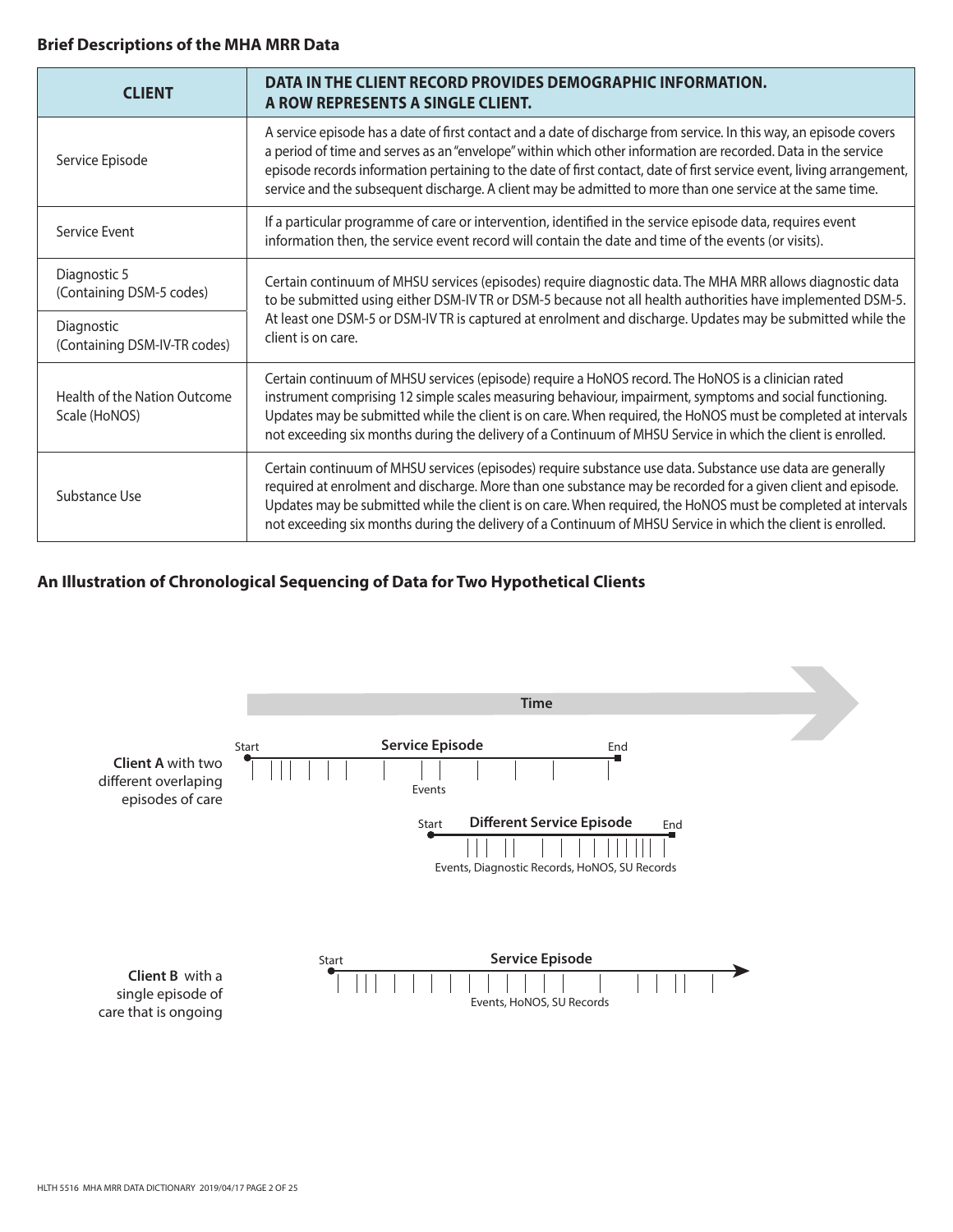## **Brief Descriptions of the MHA MRR Data**

| <b>CLIENT</b>                                 | DATA IN THE CLIENT RECORD PROVIDES DEMOGRAPHIC INFORMATION.<br>A ROW REPRESENTS A SINGLE CLIENT.                                                                                                                                                                                                                                                                                                                                                                          |  |
|-----------------------------------------------|---------------------------------------------------------------------------------------------------------------------------------------------------------------------------------------------------------------------------------------------------------------------------------------------------------------------------------------------------------------------------------------------------------------------------------------------------------------------------|--|
| Service Episode                               | A service episode has a date of first contact and a date of discharge from service. In this way, an episode covers<br>a period of time and serves as an "envelope" within which other information are recorded. Data in the service<br>episode records information pertaining to the date of first contact, date of first service event, living arrangement,<br>service and the subsequent discharge. A client may be admitted to more than one service at the same time. |  |
| Service Event                                 | If a particular programme of care or intervention, identified in the service episode data, requires event<br>information then, the service event record will contain the date and time of the events (or visits).                                                                                                                                                                                                                                                         |  |
| Diagnostic 5<br>(Containing DSM-5 codes)      | Certain continuum of MHSU services (episodes) require diagnostic data. The MHA MRR allows diagnostic data<br>to be submitted using either DSM-IV TR or DSM-5 because not all health authorities have implemented DSM-5.<br>At least one DSM-5 or DSM-IV TR is captured at enrolment and discharge. Updates may be submitted while the<br>client is on care.                                                                                                               |  |
| Diagnostic<br>(Containing DSM-IV-TR codes)    |                                                                                                                                                                                                                                                                                                                                                                                                                                                                           |  |
| Health of the Nation Outcome<br>Scale (HoNOS) | Certain continuum of MHSU services (episode) require a HoNOS record. The HoNOS is a clinician rated<br>instrument comprising 12 simple scales measuring behaviour, impairment, symptoms and social functioning.<br>Updates may be submitted while the client is on care. When required, the HoNOS must be completed at intervals<br>not exceeding six months during the delivery of a Continuum of MHSU Service in which the client is enrolled.                          |  |
| Substance Use                                 | Certain continuum of MHSU services (episodes) require substance use data. Substance use data are generally<br>required at enrolment and discharge. More than one substance may be recorded for a given client and episode.<br>Updates may be submitted while the client is on care. When required, the HoNOS must be completed at intervals<br>not exceeding six months during the delivery of a Continuum of MHSU Service in which the client is enrolled.               |  |

# **An Illustration of Chronological Sequencing of Data for Two Hypothetical Clients**

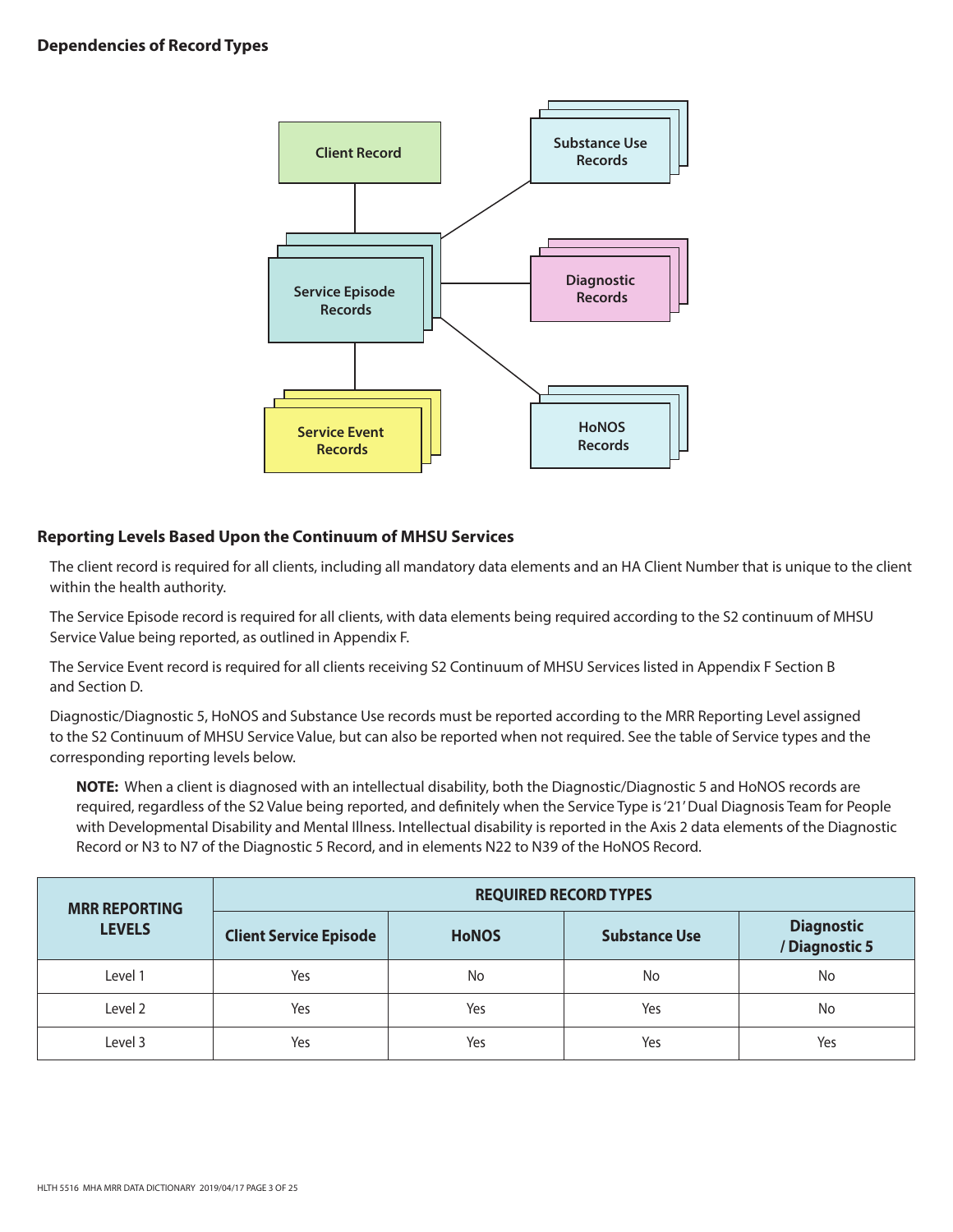

# **Reporting Levels Based Upon the Continuum of MHSU Services**

The client record is required for all clients, including all mandatory data elements and an HA Client Number that is unique to the client within the health authority.

The Service Episode record is required for all clients, with data elements being required according to the S2 continuum of MHSU Service Value being reported, as outlined in Appendix F.

The Service Event record is required for all clients receiving S2 Continuum of MHSU Services listed in Appendix F Section B and Section D.

Diagnostic/Diagnostic 5, HoNOS and Substance Use records must be reported according to the MRR Reporting Level assigned to the S2 Continuum of MHSU Service Value, but can also be reported when not required. See the table of Service types and the corresponding reporting levels below.

**NOTE:** When a client is diagnosed with an intellectual disability, both the Diagnostic/Diagnostic 5 and HoNOS records are required, regardless of the S2 Value being reported, and definitely when the Service Type is '21' Dual Diagnosis Team for People with Developmental Disability and Mental Illness. Intellectual disability is reported in the Axis 2 data elements of the Diagnostic Record or N3 to N7 of the Diagnostic 5 Record, and in elements N22 to N39 of the HoNOS Record.

| <b>MRR REPORTING</b> | <b>REQUIRED RECORD TYPES</b>  |              |                      |                                     |
|----------------------|-------------------------------|--------------|----------------------|-------------------------------------|
| <b>LEVELS</b>        | <b>Client Service Episode</b> | <b>HoNOS</b> | <b>Substance Use</b> | <b>Diagnostic</b><br>/ Diagnostic 5 |
| Level 1              | Yes                           | No           | No                   | No                                  |
| Level 2              | Yes                           | Yes          | Yes                  | No                                  |
| Level 3              | Yes                           | Yes          | Yes                  | Yes                                 |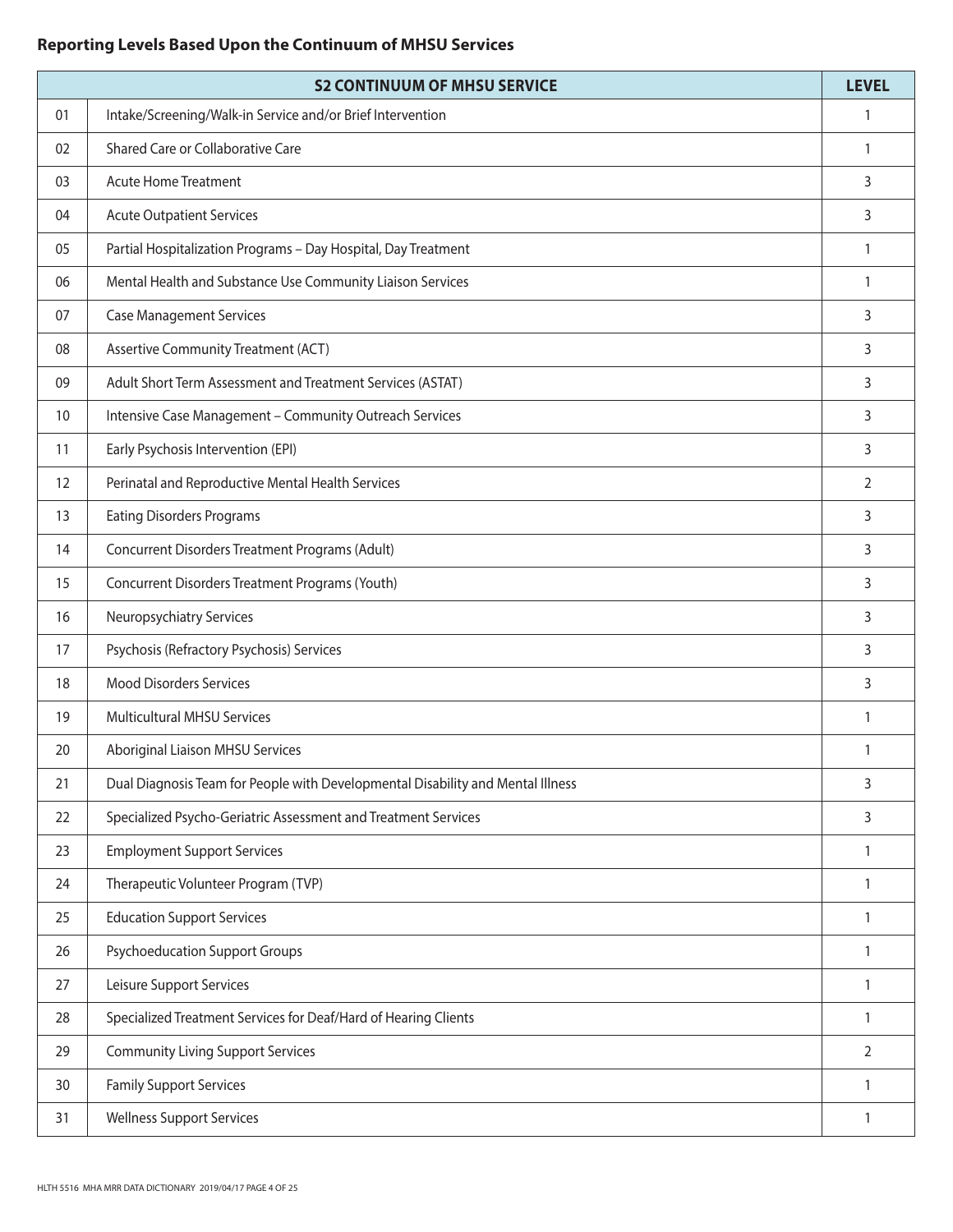# **Reporting Levels Based Upon the Continuum of MHSU Services**

|    | <b>S2 CONTINUUM OF MHSU SERVICE</b>                                             | <b>LEVEL</b>   |
|----|---------------------------------------------------------------------------------|----------------|
| 01 | Intake/Screening/Walk-in Service and/or Brief Intervention                      | 1              |
| 02 | Shared Care or Collaborative Care                                               | 1              |
| 03 | <b>Acute Home Treatment</b>                                                     | 3              |
| 04 | <b>Acute Outpatient Services</b>                                                | 3              |
| 05 | Partial Hospitalization Programs - Day Hospital, Day Treatment                  | 1              |
| 06 | Mental Health and Substance Use Community Liaison Services                      | 1              |
| 07 | <b>Case Management Services</b>                                                 | 3              |
| 08 | Assertive Community Treatment (ACT)                                             | 3              |
| 09 | Adult Short Term Assessment and Treatment Services (ASTAT)                      | 3              |
| 10 | Intensive Case Management - Community Outreach Services                         | 3              |
| 11 | Early Psychosis Intervention (EPI)                                              | 3              |
| 12 | Perinatal and Reproductive Mental Health Services                               | $\overline{2}$ |
| 13 | <b>Eating Disorders Programs</b>                                                | 3              |
| 14 | Concurrent Disorders Treatment Programs (Adult)                                 | 3              |
| 15 | Concurrent Disorders Treatment Programs (Youth)                                 | 3              |
| 16 | Neuropsychiatry Services                                                        | 3              |
| 17 | Psychosis (Refractory Psychosis) Services                                       | 3              |
| 18 | <b>Mood Disorders Services</b>                                                  | 3              |
| 19 | <b>Multicultural MHSU Services</b>                                              | $\mathbf{1}$   |
| 20 | Aboriginal Liaison MHSU Services                                                | 1              |
| 21 | Dual Diagnosis Team for People with Developmental Disability and Mental Illness | 3              |
| 22 | Specialized Psycho-Geriatric Assessment and Treatment Services                  | 3              |
| 23 | <b>Employment Support Services</b>                                              | 1              |
| 24 | Therapeutic Volunteer Program (TVP)                                             | 1              |
| 25 | <b>Education Support Services</b>                                               | $\mathbf{1}$   |
| 26 | <b>Psychoeducation Support Groups</b>                                           | 1              |
| 27 | Leisure Support Services                                                        | 1              |
| 28 | Specialized Treatment Services for Deaf/Hard of Hearing Clients                 | 1              |
| 29 | <b>Community Living Support Services</b>                                        | $\overline{2}$ |
| 30 | <b>Family Support Services</b>                                                  | $\mathbf{1}$   |
| 31 | <b>Wellness Support Services</b>                                                | 1              |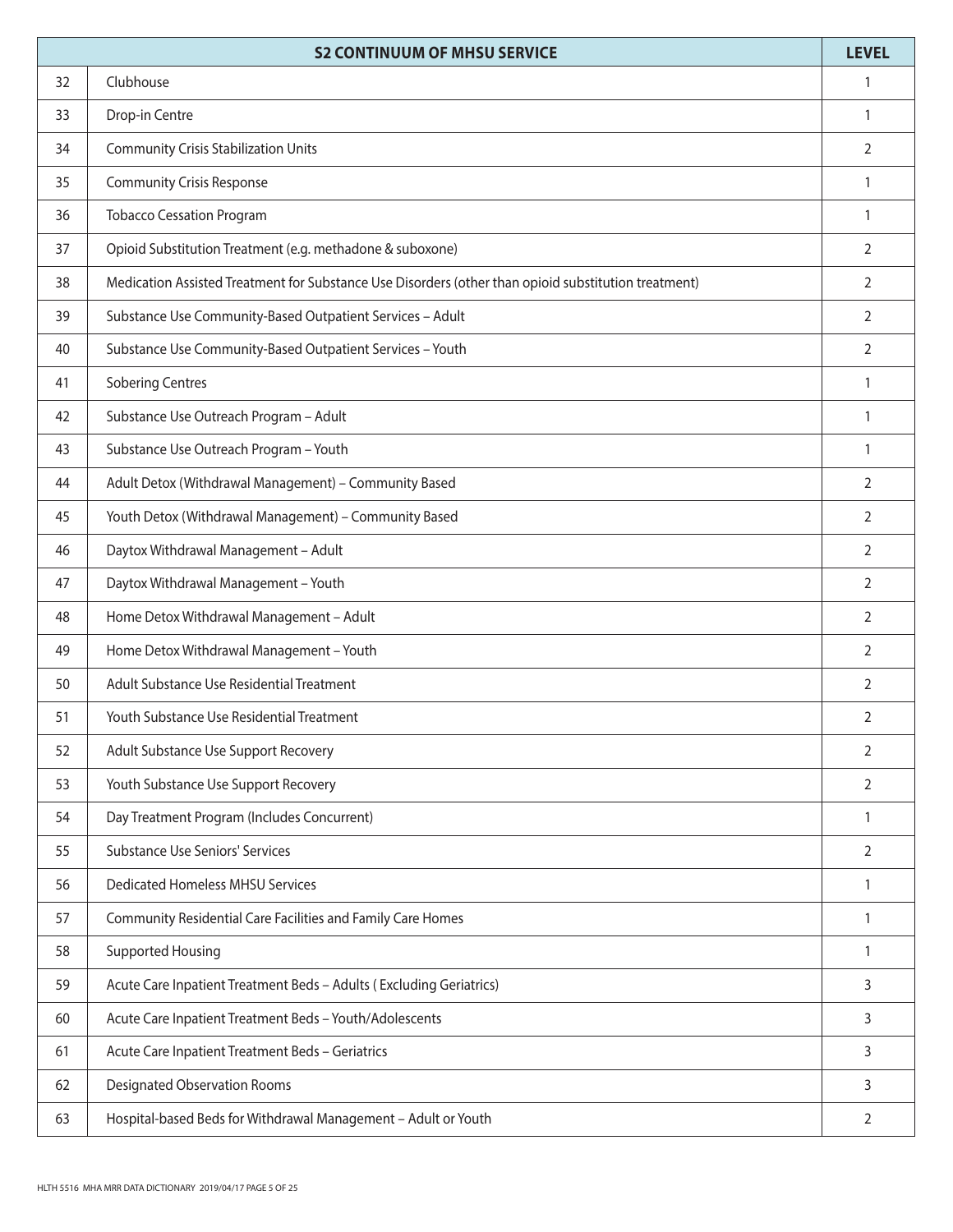|    | <b>S2 CONTINUUM OF MHSU SERVICE</b>                                                                  | <b>LEVEL</b>   |
|----|------------------------------------------------------------------------------------------------------|----------------|
| 32 | Clubhouse                                                                                            | 1              |
| 33 | Drop-in Centre                                                                                       | 1              |
| 34 | <b>Community Crisis Stabilization Units</b>                                                          | $\overline{2}$ |
| 35 | <b>Community Crisis Response</b>                                                                     | $\mathbf{1}$   |
| 36 | <b>Tobacco Cessation Program</b>                                                                     | 1              |
| 37 | Opioid Substitution Treatment (e.g. methadone & suboxone)                                            | 2              |
| 38 | Medication Assisted Treatment for Substance Use Disorders (other than opioid substitution treatment) | 2              |
| 39 | Substance Use Community-Based Outpatient Services - Adult                                            | 2              |
| 40 | Substance Use Community-Based Outpatient Services - Youth                                            | 2              |
| 41 | <b>Sobering Centres</b>                                                                              | $\mathbf{1}$   |
| 42 | Substance Use Outreach Program - Adult                                                               | $\mathbf{1}$   |
| 43 | Substance Use Outreach Program - Youth                                                               | $\mathbf{1}$   |
| 44 | Adult Detox (Withdrawal Management) - Community Based                                                | 2              |
| 45 | Youth Detox (Withdrawal Management) - Community Based                                                | 2              |
| 46 | Daytox Withdrawal Management - Adult                                                                 | 2              |
| 47 | Daytox Withdrawal Management - Youth                                                                 | 2              |
| 48 | Home Detox Withdrawal Management - Adult                                                             | 2              |
| 49 | Home Detox Withdrawal Management - Youth                                                             | 2              |
| 50 | Adult Substance Use Residential Treatment                                                            | $\overline{2}$ |
| 51 | Youth Substance Use Residential Treatment                                                            | $\overline{2}$ |
| 52 | Adult Substance Use Support Recovery                                                                 | $\overline{2}$ |
| 53 | Youth Substance Use Support Recovery                                                                 | $\overline{2}$ |
| 54 | Day Treatment Program (Includes Concurrent)                                                          | $\mathbf{1}$   |
| 55 | <b>Substance Use Seniors' Services</b>                                                               | 2              |
| 56 | <b>Dedicated Homeless MHSU Services</b>                                                              | $\mathbf{1}$   |
| 57 | Community Residential Care Facilities and Family Care Homes                                          | 1              |
| 58 | <b>Supported Housing</b>                                                                             | $\mathbf{1}$   |
| 59 | Acute Care Inpatient Treatment Beds - Adults (Excluding Geriatrics)                                  | 3              |
| 60 | Acute Care Inpatient Treatment Beds - Youth/Adolescents                                              | 3              |
| 61 | Acute Care Inpatient Treatment Beds - Geriatrics                                                     | 3              |
| 62 | <b>Designated Observation Rooms</b>                                                                  | 3              |
| 63 | Hospital-based Beds for Withdrawal Management - Adult or Youth                                       | 2              |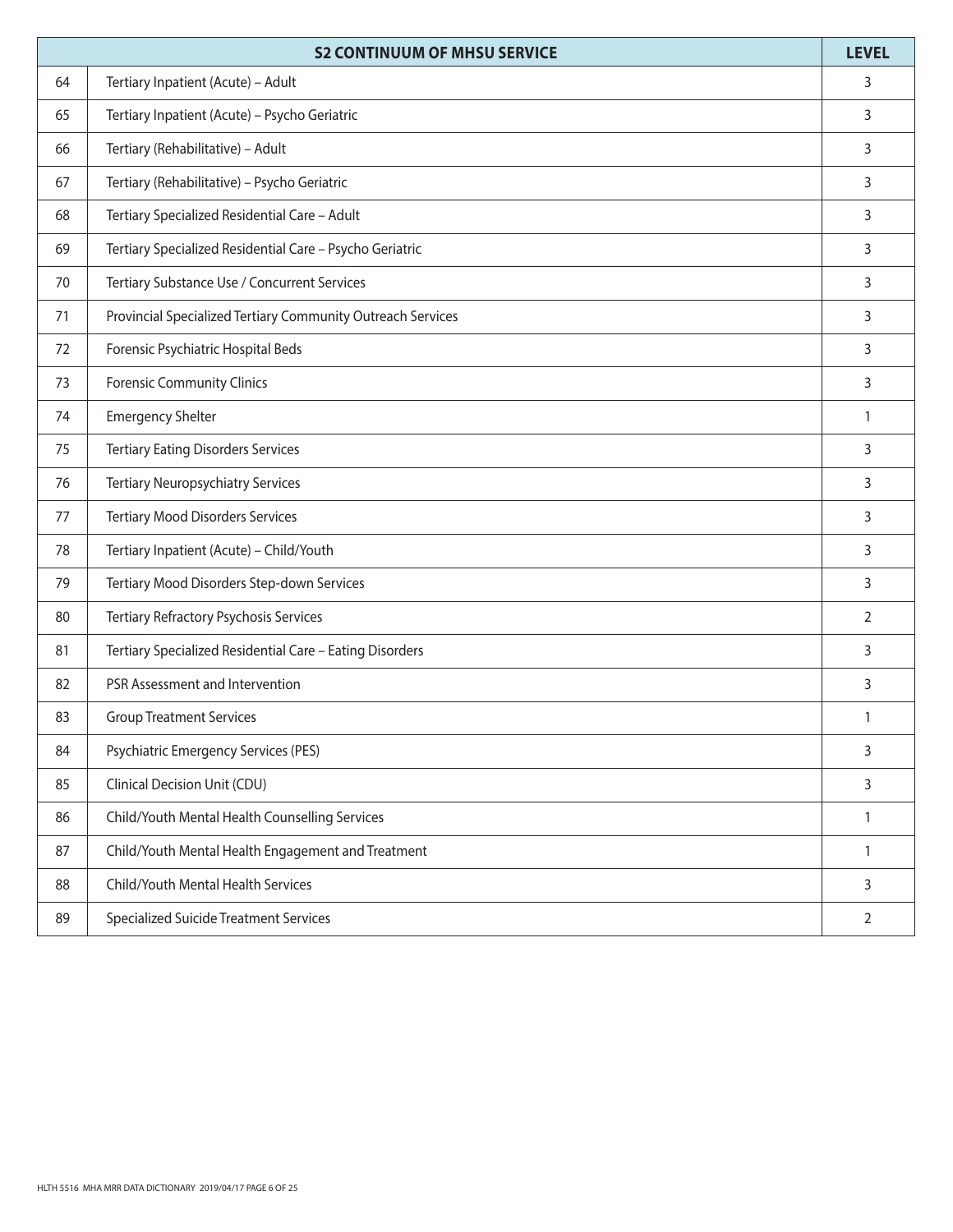|    | <b>S2 CONTINUUM OF MHSU SERVICE</b>                         | <b>LEVEL</b>   |
|----|-------------------------------------------------------------|----------------|
| 64 | Tertiary Inpatient (Acute) - Adult                          | 3              |
| 65 | Tertiary Inpatient (Acute) - Psycho Geriatric               | 3              |
| 66 | Tertiary (Rehabilitative) - Adult                           | 3              |
| 67 | Tertiary (Rehabilitative) - Psycho Geriatric                | 3              |
| 68 | Tertiary Specialized Residential Care - Adult               | 3              |
| 69 | Tertiary Specialized Residential Care - Psycho Geriatric    | 3              |
| 70 | Tertiary Substance Use / Concurrent Services                | 3              |
| 71 | Provincial Specialized Tertiary Community Outreach Services | 3              |
| 72 | Forensic Psychiatric Hospital Beds                          | 3              |
| 73 | <b>Forensic Community Clinics</b>                           | 3              |
| 74 | <b>Emergency Shelter</b>                                    | $\mathbf{1}$   |
| 75 | <b>Tertiary Eating Disorders Services</b>                   | 3              |
| 76 | <b>Tertiary Neuropsychiatry Services</b>                    | 3              |
| 77 | <b>Tertiary Mood Disorders Services</b>                     | 3              |
| 78 | Tertiary Inpatient (Acute) - Child/Youth                    | 3              |
| 79 | Tertiary Mood Disorders Step-down Services                  | 3              |
| 80 | Tertiary Refractory Psychosis Services                      | $\overline{2}$ |
| 81 | Tertiary Specialized Residential Care - Eating Disorders    | 3              |
| 82 | PSR Assessment and Intervention                             | 3              |
| 83 | <b>Group Treatment Services</b>                             | 1              |
| 84 | Psychiatric Emergency Services (PES)                        | 3              |
| 85 | Clinical Decision Unit (CDU)                                | 3              |
| 86 | Child/Youth Mental Health Counselling Services              | $\mathbf{1}$   |
| 87 | Child/Youth Mental Health Engagement and Treatment          | $\mathbf{1}$   |
| 88 | Child/Youth Mental Health Services                          | 3              |
| 89 | <b>Specialized Suicide Treatment Services</b>               | $\overline{2}$ |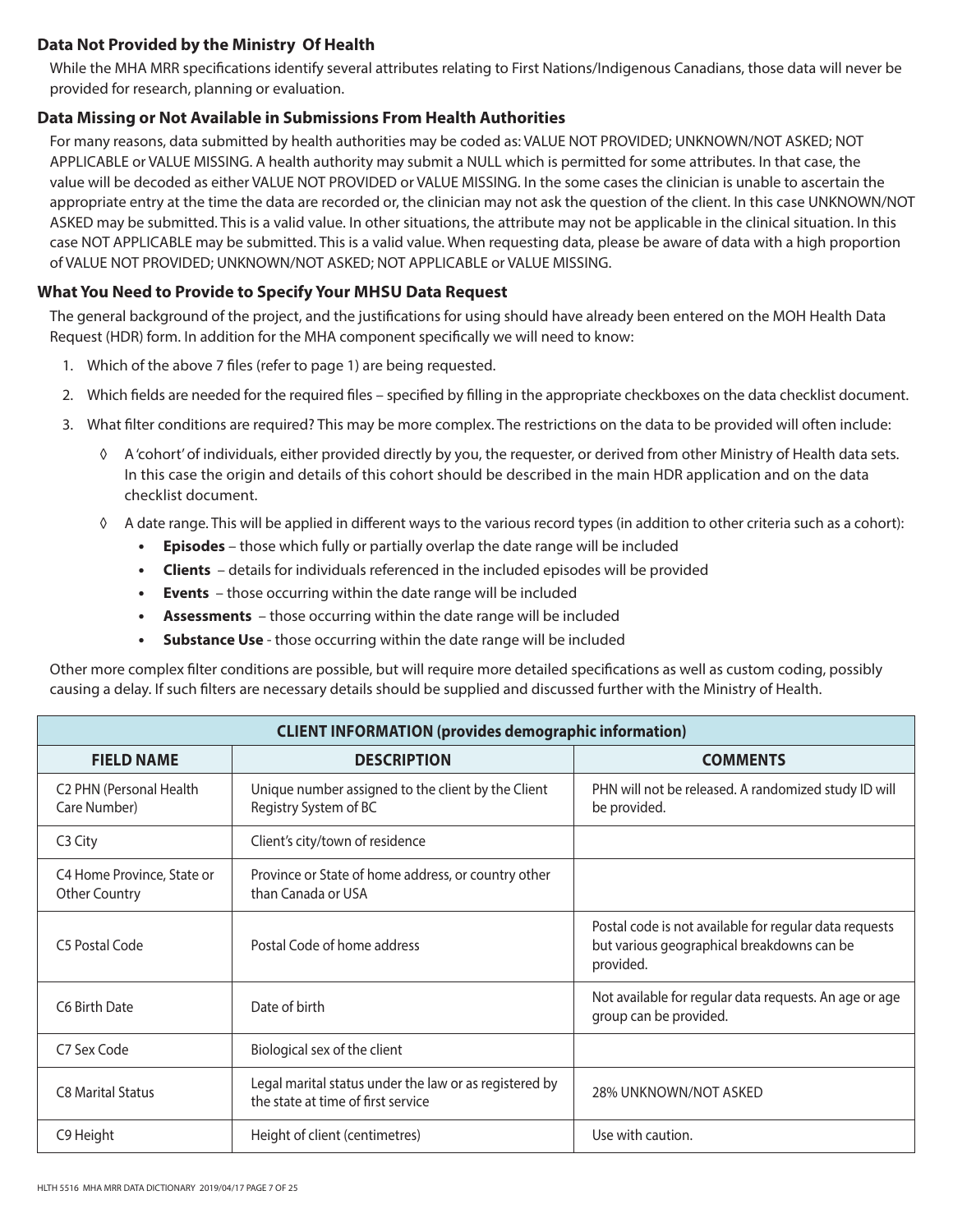# **Data Not Provided by the Ministry Of Health**

While the MHA MRR specifications identify several attributes relating to First Nations/Indigenous Canadians, those data will never be provided for research, planning or evaluation.

## **Data Missing or Not Available in Submissions From Health Authorities**

For many reasons, data submitted by health authorities may be coded as: VALUE NOT PROVIDED; UNKNOWN/NOT ASKED; NOT APPLICABLE or VALUE MISSING. A health authority may submit a NULL which is permitted for some attributes. In that case, the value will be decoded as either VALUE NOT PROVIDED or VALUE MISSING. In the some cases the clinician is unable to ascertain the appropriate entry at the time the data are recorded or, the clinician may not ask the question of the client. In this case UNKNOWN/NOT ASKED may be submitted. This is a valid value. In other situations, the attribute may not be applicable in the clinical situation. In this case NOT APPLICABLE may be submitted. This is a valid value. When requesting data, please be aware of data with a high proportion of VALUE NOT PROVIDED; UNKNOWN/NOT ASKED; NOT APPLICABLE or VALUE MISSING.

## **What You Need to Provide to Specify Your MHSU Data Request**

The general background of the project, and the justifications for using should have already been entered on the MOH Health Data Request (HDR) form. In addition for the MHA component specifically we will need to know:

- 1. Which of the above 7 files (refer to page 1) are being requested.
- 2. Which fields are needed for the required files specified by filling in the appropriate checkboxes on the data checklist document.
- 3. What filter conditions are required? This may be more complex. The restrictions on the data to be provided will often include:
	- ◊ A 'cohort' of individuals, either provided directly by you, the requester, or derived from other Ministry of Health data sets. In this case the origin and details of this cohort should be described in the main HDR application and on the data checklist document.
	- ◊ A date range. This will be applied in different ways to the various record types (in addition to other criteria such as a cohort):
		- **• Episodes** those which fully or partially overlap the date range will be included
		- **• Clients** details for individuals referenced in the included episodes will be provided
		- **• Events** those occurring within the date range will be included
		- **• Assessments** those occurring within the date range will be included
		- **• Substance Use** those occurring within the date range will be included

Other more complex filter conditions are possible, but will require more detailed specifications as well as custom coding, possibly causing a delay. If such filters are necessary details should be supplied and discussed further with the Ministry of Health.

| <b>CLIENT INFORMATION (provides demographic information)</b> |                                                                                              |                                                                                                                   |  |
|--------------------------------------------------------------|----------------------------------------------------------------------------------------------|-------------------------------------------------------------------------------------------------------------------|--|
| <b>FIELD NAME</b>                                            | <b>DESCRIPTION</b>                                                                           | <b>COMMENTS</b>                                                                                                   |  |
| C2 PHN (Personal Health<br>Care Number)                      | Unique number assigned to the client by the Client<br>Registry System of BC                  | PHN will not be released. A randomized study ID will<br>be provided.                                              |  |
| C <sub>3</sub> City                                          | Client's city/town of residence                                                              |                                                                                                                   |  |
| C4 Home Province, State or<br><b>Other Country</b>           | Province or State of home address, or country other<br>than Canada or USA                    |                                                                                                                   |  |
| C5 Postal Code                                               | Postal Code of home address                                                                  | Postal code is not available for regular data requests<br>but various geographical breakdowns can be<br>provided. |  |
| C6 Birth Date                                                | Date of birth                                                                                | Not available for regular data requests. An age or age<br>group can be provided.                                  |  |
| C7 Sex Code                                                  | Biological sex of the client                                                                 |                                                                                                                   |  |
| <b>C8 Marital Status</b>                                     | Legal marital status under the law or as registered by<br>the state at time of first service | 28% UNKNOWN/NOT ASKED                                                                                             |  |
| C9 Height                                                    | Height of client (centimetres)                                                               | Use with caution.                                                                                                 |  |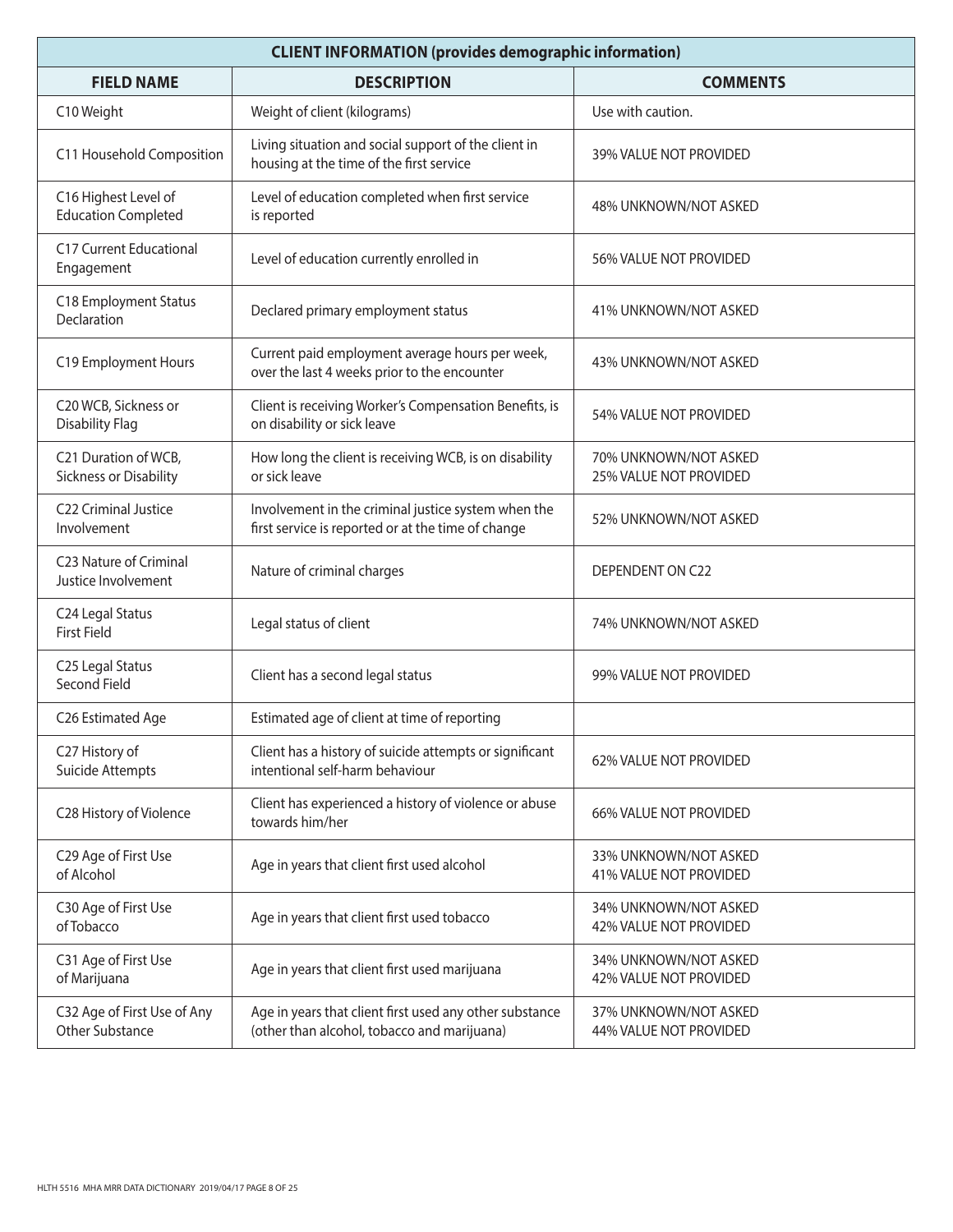| <b>CLIENT INFORMATION (provides demographic information)</b> |                                                                                                           |                                                 |  |
|--------------------------------------------------------------|-----------------------------------------------------------------------------------------------------------|-------------------------------------------------|--|
| <b>FIELD NAME</b>                                            | <b>DESCRIPTION</b>                                                                                        | <b>COMMENTS</b>                                 |  |
| C10 Weight                                                   | Weight of client (kilograms)                                                                              | Use with caution.                               |  |
| C11 Household Composition                                    | Living situation and social support of the client in<br>housing at the time of the first service          | 39% VALUE NOT PROVIDED                          |  |
| C16 Highest Level of<br><b>Education Completed</b>           | Level of education completed when first service<br>is reported                                            | 48% UNKNOWN/NOT ASKED                           |  |
| C17 Current Educational<br>Engagement                        | Level of education currently enrolled in                                                                  | 56% VALUE NOT PROVIDED                          |  |
| C18 Employment Status<br>Declaration                         | Declared primary employment status                                                                        | 41% UNKNOWN/NOT ASKED                           |  |
| C19 Employment Hours                                         | Current paid employment average hours per week,<br>over the last 4 weeks prior to the encounter           | 43% UNKNOWN/NOT ASKED                           |  |
| C20 WCB, Sickness or<br><b>Disability Flag</b>               | Client is receiving Worker's Compensation Benefits, is<br>on disability or sick leave                     | 54% VALUE NOT PROVIDED                          |  |
| C21 Duration of WCB,<br>Sickness or Disability               | How long the client is receiving WCB, is on disability<br>or sick leave                                   | 70% UNKNOWN/NOT ASKED<br>25% VALUE NOT PROVIDED |  |
| C22 Criminal Justice<br>Involvement                          | Involvement in the criminal justice system when the<br>first service is reported or at the time of change | 52% UNKNOWN/NOT ASKED                           |  |
| C23 Nature of Criminal<br>Justice Involvement                | Nature of criminal charges                                                                                | DEPENDENT ON C22                                |  |
| C24 Legal Status<br><b>First Field</b>                       | Legal status of client                                                                                    | 74% UNKNOWN/NOT ASKED                           |  |
| C25 Legal Status<br>Second Field                             | Client has a second legal status                                                                          | 99% VALUE NOT PROVIDED                          |  |
| C26 Estimated Age                                            | Estimated age of client at time of reporting                                                              |                                                 |  |
| C27 History of<br>Suicide Attempts                           | Client has a history of suicide attempts or significant<br>intentional self-harm behaviour                | 62% VALUE NOT PROVIDED                          |  |
| C28 History of Violence                                      | Client has experienced a history of violence or abuse<br>towards him/her                                  | 66% VALUE NOT PROVIDED                          |  |
| C29 Age of First Use<br>of Alcohol                           | Age in years that client first used alcohol                                                               | 33% UNKNOWN/NOT ASKED<br>41% VALUE NOT PROVIDED |  |
| C30 Age of First Use<br>of Tobacco                           | Age in years that client first used tobacco                                                               | 34% UNKNOWN/NOT ASKED<br>42% VALUE NOT PROVIDED |  |
| C31 Age of First Use<br>of Marijuana                         | Age in years that client first used marijuana                                                             | 34% UNKNOWN/NOT ASKED<br>42% VALUE NOT PROVIDED |  |
| C32 Age of First Use of Any<br>Other Substance               | Age in years that client first used any other substance<br>(other than alcohol, tobacco and marijuana)    | 37% UNKNOWN/NOT ASKED<br>44% VALUE NOT PROVIDED |  |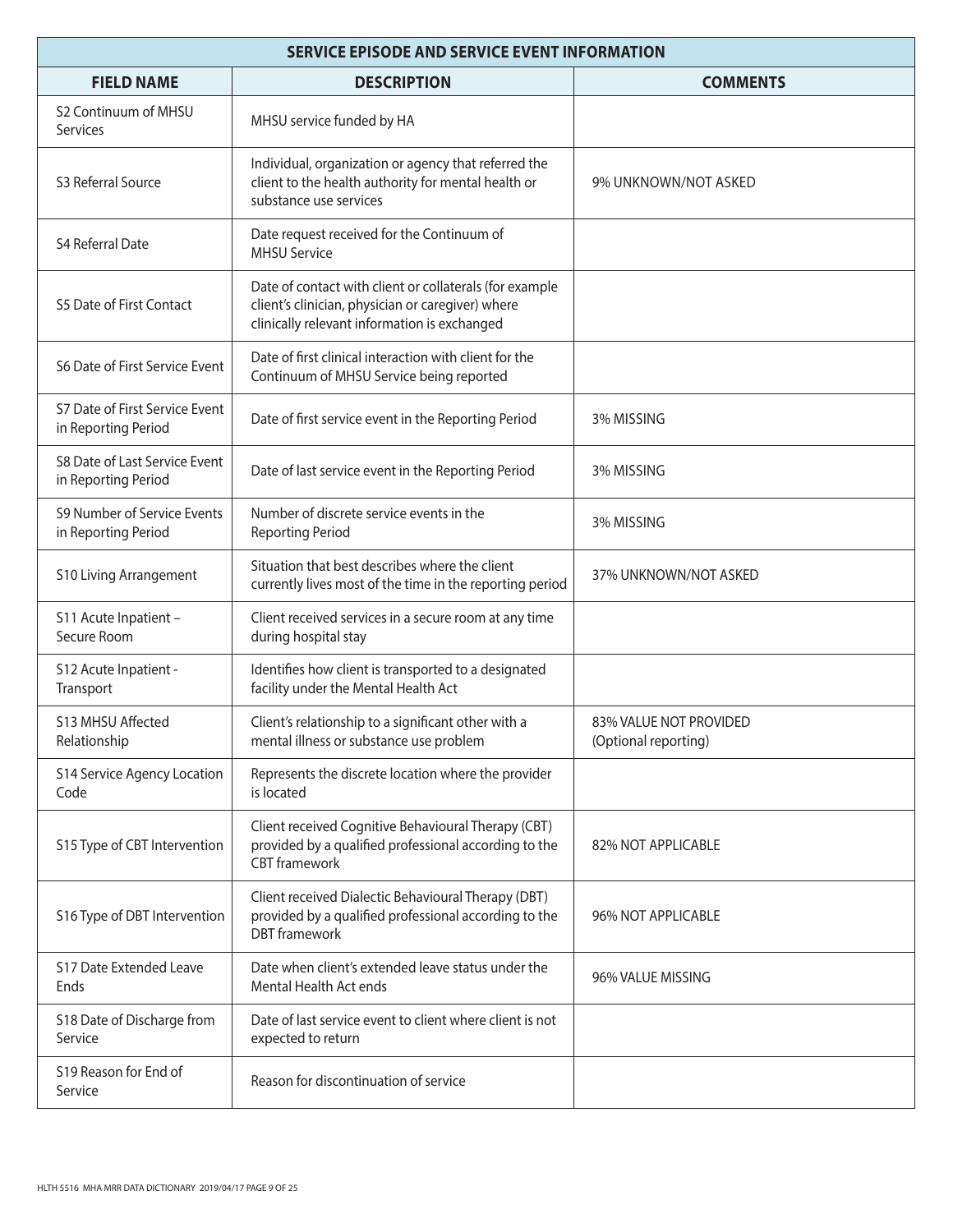| <b>SERVICE EPISODE AND SERVICE EVENT INFORMATION</b>  |                                                                                                                                                              |                                                |  |
|-------------------------------------------------------|--------------------------------------------------------------------------------------------------------------------------------------------------------------|------------------------------------------------|--|
| <b>FIELD NAME</b>                                     | <b>DESCRIPTION</b>                                                                                                                                           | <b>COMMENTS</b>                                |  |
| S <sub>2</sub> Continuum of MHSU<br><b>Services</b>   | MHSU service funded by HA                                                                                                                                    |                                                |  |
| S3 Referral Source                                    | Individual, organization or agency that referred the<br>client to the health authority for mental health or<br>substance use services                        | 9% UNKNOWN/NOT ASKED                           |  |
| <b>S4 Referral Date</b>                               | Date request received for the Continuum of<br><b>MHSU Service</b>                                                                                            |                                                |  |
| S5 Date of First Contact                              | Date of contact with client or collaterals (for example<br>client's clinician, physician or caregiver) where<br>clinically relevant information is exchanged |                                                |  |
| S6 Date of First Service Event                        | Date of first clinical interaction with client for the<br>Continuum of MHSU Service being reported                                                           |                                                |  |
| S7 Date of First Service Event<br>in Reporting Period | Date of first service event in the Reporting Period                                                                                                          | 3% MISSING                                     |  |
| S8 Date of Last Service Event<br>in Reporting Period  | Date of last service event in the Reporting Period                                                                                                           | 3% MISSING                                     |  |
| S9 Number of Service Events<br>in Reporting Period    | Number of discrete service events in the<br><b>Reporting Period</b>                                                                                          | 3% MISSING                                     |  |
| <b>S10 Living Arrangement</b>                         | Situation that best describes where the client<br>currently lives most of the time in the reporting period                                                   | 37% UNKNOWN/NOT ASKED                          |  |
| S11 Acute Inpatient -<br>Secure Room                  | Client received services in a secure room at any time<br>during hospital stay                                                                                |                                                |  |
| S12 Acute Inpatient -<br>Transport                    | Identifies how client is transported to a designated<br>facility under the Mental Health Act                                                                 |                                                |  |
| S13 MHSU Affected<br>Relationship                     | Client's relationship to a significant other with a<br>mental illness or substance use problem                                                               | 83% VALUE NOT PROVIDED<br>(Optional reporting) |  |
| <b>S14 Service Agency Location</b><br>Code            | Represents the discrete location where the provider<br>is located                                                                                            |                                                |  |
| S15 Type of CBT Intervention                          | Client received Cognitive Behavioural Therapy (CBT)<br>provided by a qualified professional according to the<br><b>CBT</b> framework                         | 82% NOT APPLICABLE                             |  |
| S16 Type of DBT Intervention                          | Client received Dialectic Behavioural Therapy (DBT)<br>provided by a qualified professional according to the<br><b>DBT</b> framework                         | 96% NOT APPLICABLE                             |  |
| <b>S17 Date Extended Leave</b><br>Ends                | Date when client's extended leave status under the<br>Mental Health Act ends                                                                                 | 96% VALUE MISSING                              |  |
| S18 Date of Discharge from<br>Service                 | Date of last service event to client where client is not<br>expected to return                                                                               |                                                |  |
| S19 Reason for End of<br>Service                      | Reason for discontinuation of service                                                                                                                        |                                                |  |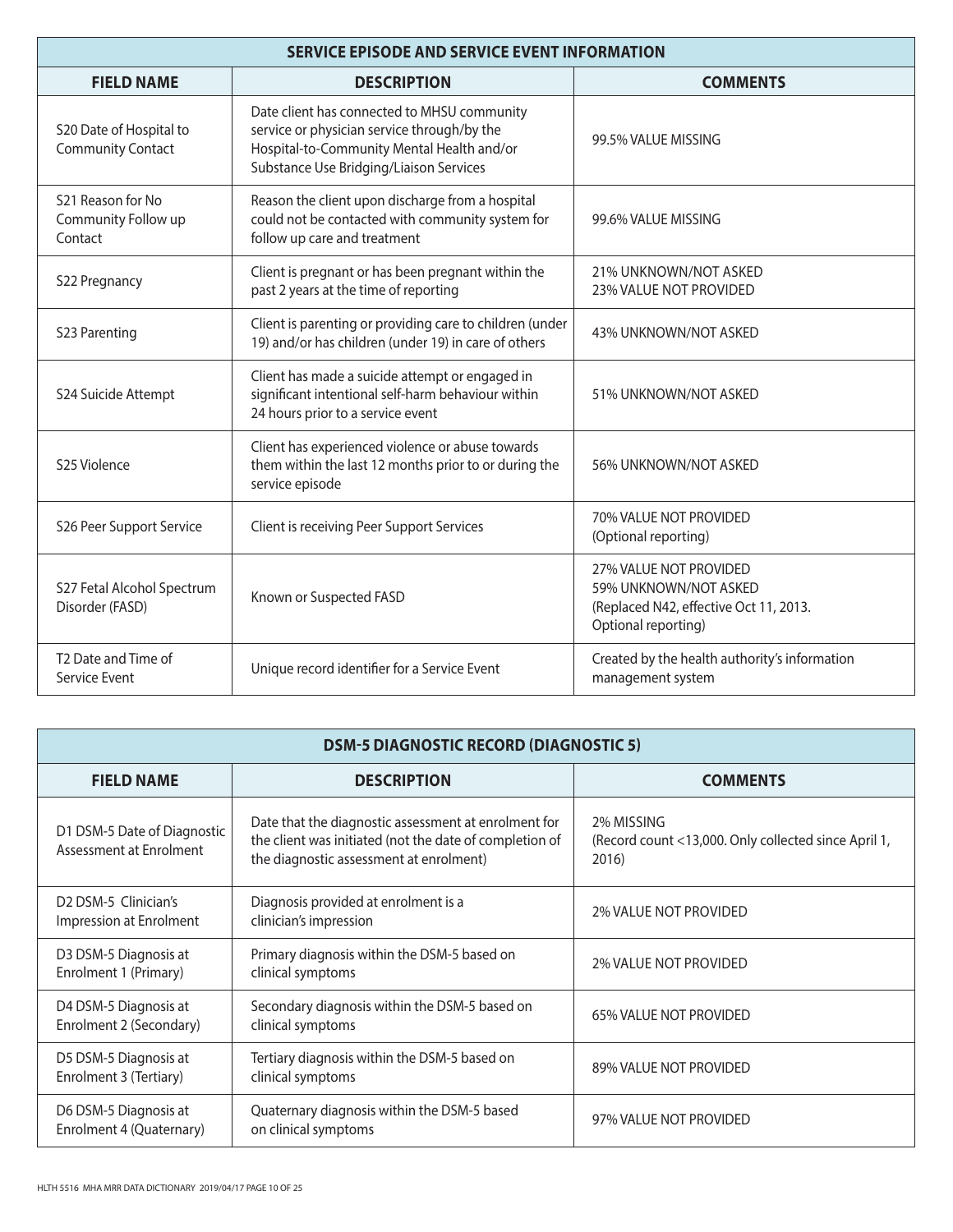| <b>SERVICE EPISODE AND SERVICE EVENT INFORMATION</b> |                                                                                                                                                                                     |                                                                                                                  |  |
|------------------------------------------------------|-------------------------------------------------------------------------------------------------------------------------------------------------------------------------------------|------------------------------------------------------------------------------------------------------------------|--|
| <b>FIELD NAME</b>                                    | <b>DESCRIPTION</b>                                                                                                                                                                  | <b>COMMENTS</b>                                                                                                  |  |
| S20 Date of Hospital to<br><b>Community Contact</b>  | Date client has connected to MHSU community<br>service or physician service through/by the<br>Hospital-to-Community Mental Health and/or<br>Substance Use Bridging/Liaison Services | 99.5% VALUE MISSING                                                                                              |  |
| S21 Reason for No<br>Community Follow up<br>Contact  | Reason the client upon discharge from a hospital<br>could not be contacted with community system for<br>follow up care and treatment                                                | 99.6% VALUE MISSING                                                                                              |  |
| S22 Pregnancy                                        | Client is pregnant or has been pregnant within the<br>past 2 years at the time of reporting                                                                                         | 21% UNKNOWN/NOT ASKED<br>23% VALUE NOT PROVIDED                                                                  |  |
| S23 Parenting                                        | Client is parenting or providing care to children (under<br>19) and/or has children (under 19) in care of others                                                                    | 43% UNKNOWN/NOT ASKED                                                                                            |  |
| S24 Suicide Attempt                                  | Client has made a suicide attempt or engaged in<br>significant intentional self-harm behaviour within<br>24 hours prior to a service event                                          | 51% UNKNOWN/NOT ASKED                                                                                            |  |
| S25 Violence                                         | Client has experienced violence or abuse towards<br>them within the last 12 months prior to or during the<br>service episode                                                        | 56% UNKNOWN/NOT ASKED                                                                                            |  |
| S26 Peer Support Service                             | Client is receiving Peer Support Services                                                                                                                                           | 70% VALUE NOT PROVIDED<br>(Optional reporting)                                                                   |  |
| S27 Fetal Alcohol Spectrum<br>Disorder (FASD)        | Known or Suspected FASD                                                                                                                                                             | 27% VALUE NOT PROVIDED<br>59% UNKNOWN/NOT ASKED<br>(Replaced N42, effective Oct 11, 2013.<br>Optional reporting) |  |
| T <sub>2</sub> Date and Time of<br>Service Event     | Unique record identifier for a Service Event                                                                                                                                        | Created by the health authority's information<br>management system                                               |  |

| <b>DSM-5 DIAGNOSTIC RECORD (DIAGNOSTIC 5)</b>                            |                                                                                                                                                            |                                                                             |  |
|--------------------------------------------------------------------------|------------------------------------------------------------------------------------------------------------------------------------------------------------|-----------------------------------------------------------------------------|--|
| <b>FIELD NAME</b>                                                        | <b>DESCRIPTION</b>                                                                                                                                         | <b>COMMENTS</b>                                                             |  |
| D1 DSM-5 Date of Diagnostic<br>Assessment at Enrolment                   | Date that the diagnostic assessment at enrolment for<br>the client was initiated (not the date of completion of<br>the diagnostic assessment at enrolment) | 2% MISSING<br>(Record count <13,000. Only collected since April 1,<br>2016) |  |
| D <sub>2</sub> D <sub>SM</sub> -5 Clinician's<br>Impression at Enrolment | Diagnosis provided at enrolment is a<br>clinician's impression                                                                                             | <b>2% VALUE NOT PROVIDED</b>                                                |  |
| D3 DSM-5 Diagnosis at<br>Enrolment 1 (Primary)                           | Primary diagnosis within the DSM-5 based on<br>clinical symptoms                                                                                           | <b>2% VALUE NOT PROVIDED</b>                                                |  |
| D4 DSM-5 Diagnosis at<br>Enrolment 2 (Secondary)                         | Secondary diagnosis within the DSM-5 based on<br>clinical symptoms                                                                                         | 65% VALUE NOT PROVIDED                                                      |  |
| D5 DSM-5 Diagnosis at<br>Enrolment 3 (Tertiary)                          | Tertiary diagnosis within the DSM-5 based on<br>clinical symptoms                                                                                          | 89% VALUE NOT PROVIDED                                                      |  |
| D6 DSM-5 Diagnosis at<br>Enrolment 4 (Quaternary)                        | Quaternary diagnosis within the DSM-5 based<br>on clinical symptoms                                                                                        | 97% VALUE NOT PROVIDED                                                      |  |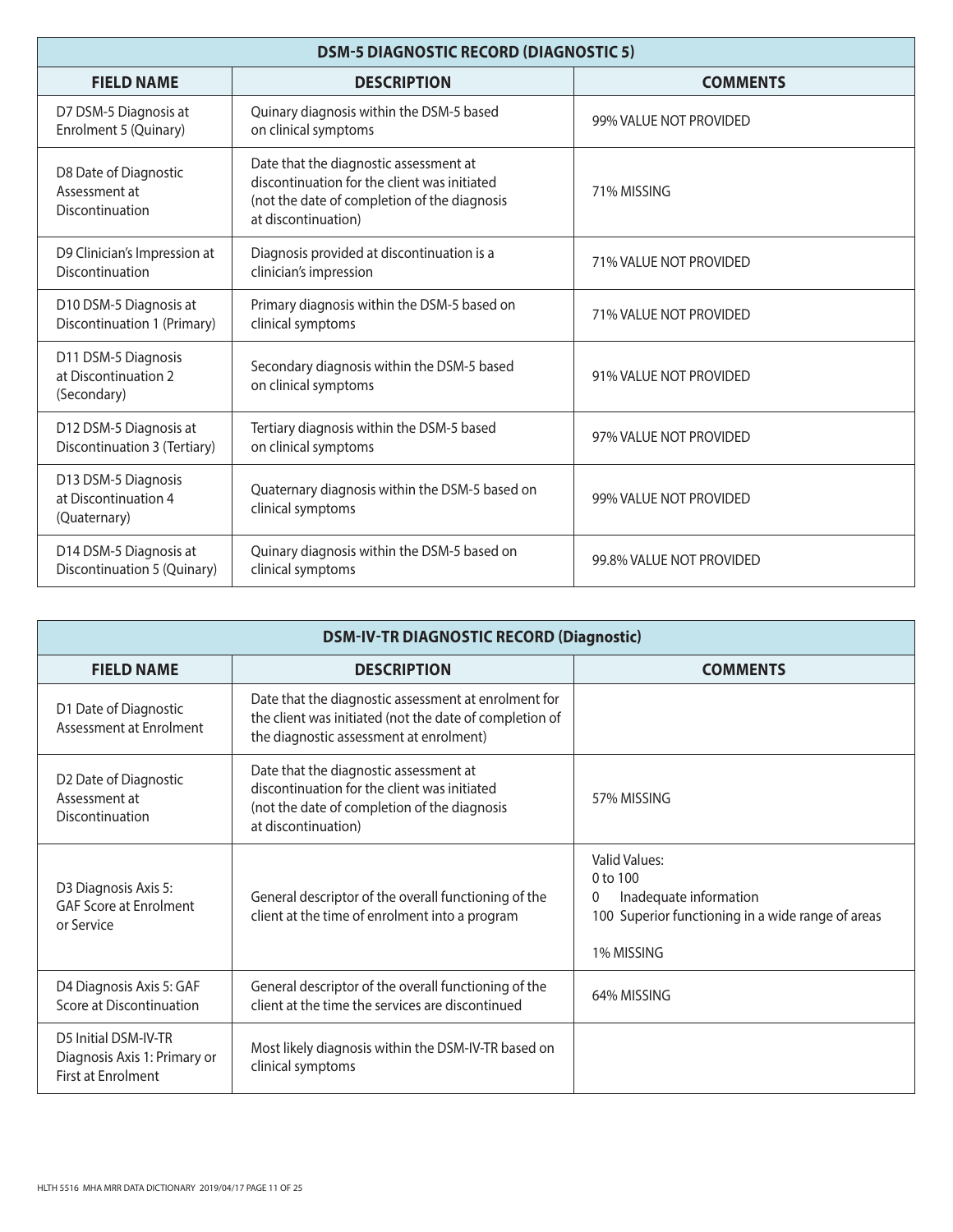| <b>DSM-5 DIAGNOSTIC RECORD (DIAGNOSTIC 5)</b>               |                                                                                                                                                               |                          |  |
|-------------------------------------------------------------|---------------------------------------------------------------------------------------------------------------------------------------------------------------|--------------------------|--|
| <b>FIELD NAME</b>                                           | <b>DESCRIPTION</b>                                                                                                                                            | <b>COMMENTS</b>          |  |
| D7 DSM-5 Diagnosis at<br>Enrolment 5 (Quinary)              | Quinary diagnosis within the DSM-5 based<br>on clinical symptoms                                                                                              | 99% VALUE NOT PROVIDED   |  |
| D8 Date of Diagnostic<br>Assessment at<br>Discontinuation   | Date that the diagnostic assessment at<br>discontinuation for the client was initiated<br>(not the date of completion of the diagnosis<br>at discontinuation) | 71% MISSING              |  |
| D9 Clinician's Impression at<br>Discontinuation             | Diagnosis provided at discontinuation is a<br>clinician's impression                                                                                          | 71% VALUE NOT PROVIDED   |  |
| D10 DSM-5 Diagnosis at<br>Discontinuation 1 (Primary)       | Primary diagnosis within the DSM-5 based on<br>clinical symptoms                                                                                              | 71% VALUE NOT PROVIDED   |  |
| D11 DSM-5 Diagnosis<br>at Discontinuation 2<br>(Secondary)  | Secondary diagnosis within the DSM-5 based<br>on clinical symptoms                                                                                            | 91% VALUE NOT PROVIDED   |  |
| D12 DSM-5 Diagnosis at<br>Discontinuation 3 (Tertiary)      | Tertiary diagnosis within the DSM-5 based<br>on clinical symptoms                                                                                             | 97% VALUE NOT PROVIDED   |  |
| D13 DSM-5 Diagnosis<br>at Discontinuation 4<br>(Quaternary) | Quaternary diagnosis within the DSM-5 based on<br>clinical symptoms                                                                                           | 99% VALUE NOT PROVIDED   |  |
| D14 DSM-5 Diagnosis at<br>Discontinuation 5 (Quinary)       | Quinary diagnosis within the DSM-5 based on<br>clinical symptoms                                                                                              | 99.8% VALUE NOT PROVIDED |  |

| <b>DSM-IV-TR DIAGNOSTIC RECORD (Diagnostic)</b>                                   |                                                                                                                                                               |                                                                                                                                 |
|-----------------------------------------------------------------------------------|---------------------------------------------------------------------------------------------------------------------------------------------------------------|---------------------------------------------------------------------------------------------------------------------------------|
| <b>FIELD NAME</b>                                                                 | <b>DESCRIPTION</b>                                                                                                                                            | <b>COMMENTS</b>                                                                                                                 |
| D1 Date of Diagnostic<br>Assessment at Enrolment                                  | Date that the diagnostic assessment at enrolment for<br>the client was initiated (not the date of completion of<br>the diagnostic assessment at enrolment)    |                                                                                                                                 |
| D2 Date of Diagnostic<br>Assessment at<br>Discontinuation                         | Date that the diagnostic assessment at<br>discontinuation for the client was initiated<br>(not the date of completion of the diagnosis<br>at discontinuation) | 57% MISSING                                                                                                                     |
| D3 Diagnosis Axis 5:<br><b>GAF Score at Enrolment</b><br>or Service               | General descriptor of the overall functioning of the<br>client at the time of enrolment into a program                                                        | Valid Values:<br>$0$ to $100$<br>Inadequate information<br>0<br>100 Superior functioning in a wide range of areas<br>1% MISSING |
| D4 Diagnosis Axis 5: GAF<br>Score at Discontinuation                              | General descriptor of the overall functioning of the<br>client at the time the services are discontinued                                                      | 64% MISSING                                                                                                                     |
| D5 Initial DSM-IV-TR<br>Diagnosis Axis 1: Primary or<br><b>First at Enrolment</b> | Most likely diagnosis within the DSM-IV-TR based on<br>clinical symptoms                                                                                      |                                                                                                                                 |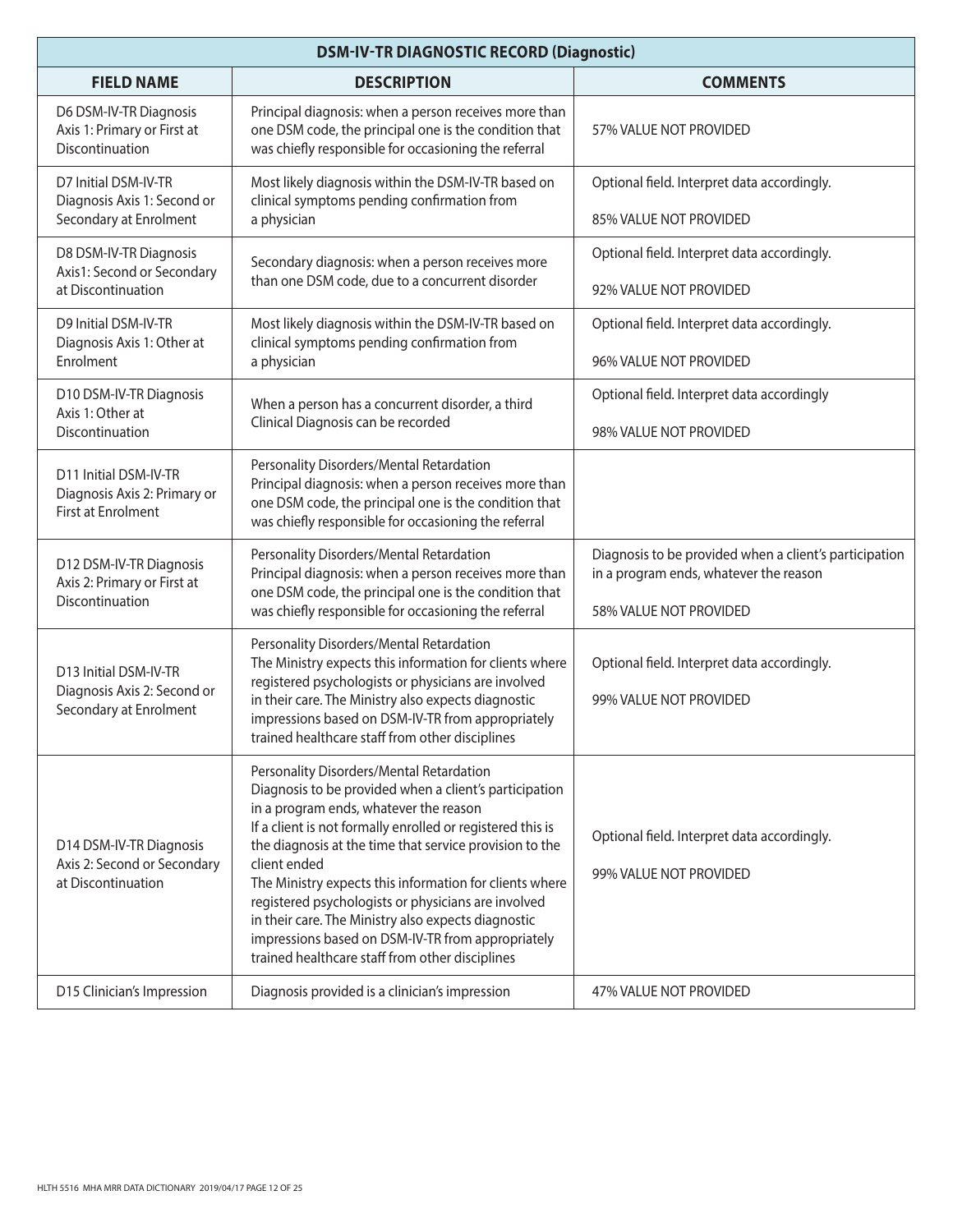| <b>DSM-IV-TR DIAGNOSTIC RECORD (Diagnostic)</b>                                |                                                                                                                                                                                                                                                                                                                                                                                                                                                                                                                                                                        |                                                                                                                            |
|--------------------------------------------------------------------------------|------------------------------------------------------------------------------------------------------------------------------------------------------------------------------------------------------------------------------------------------------------------------------------------------------------------------------------------------------------------------------------------------------------------------------------------------------------------------------------------------------------------------------------------------------------------------|----------------------------------------------------------------------------------------------------------------------------|
| <b>FIELD NAME</b>                                                              | <b>DESCRIPTION</b>                                                                                                                                                                                                                                                                                                                                                                                                                                                                                                                                                     | <b>COMMENTS</b>                                                                                                            |
| D6 DSM-IV-TR Diagnosis<br>Axis 1: Primary or First at<br>Discontinuation       | Principal diagnosis: when a person receives more than<br>one DSM code, the principal one is the condition that<br>was chiefly responsible for occasioning the referral                                                                                                                                                                                                                                                                                                                                                                                                 | 57% VALUE NOT PROVIDED                                                                                                     |
| D7 Initial DSM-IV-TR<br>Diagnosis Axis 1: Second or<br>Secondary at Enrolment  | Most likely diagnosis within the DSM-IV-TR based on<br>clinical symptoms pending confirmation from<br>a physician                                                                                                                                                                                                                                                                                                                                                                                                                                                      | Optional field. Interpret data accordingly.<br>85% VALUE NOT PROVIDED                                                      |
| D8 DSM-IV-TR Diagnosis<br>Axis1: Second or Secondary<br>at Discontinuation     | Secondary diagnosis: when a person receives more<br>than one DSM code, due to a concurrent disorder                                                                                                                                                                                                                                                                                                                                                                                                                                                                    | Optional field. Interpret data accordingly.<br>92% VALUE NOT PROVIDED                                                      |
| D9 Initial DSM-IV-TR<br>Diagnosis Axis 1: Other at<br>Enrolment                | Most likely diagnosis within the DSM-IV-TR based on<br>clinical symptoms pending confirmation from<br>a physician                                                                                                                                                                                                                                                                                                                                                                                                                                                      | Optional field. Interpret data accordingly.<br>96% VALUE NOT PROVIDED                                                      |
| D10 DSM-IV-TR Diagnosis<br>Axis 1: Other at<br>Discontinuation                 | When a person has a concurrent disorder, a third<br>Clinical Diagnosis can be recorded                                                                                                                                                                                                                                                                                                                                                                                                                                                                                 | Optional field. Interpret data accordingly<br>98% VALUE NOT PROVIDED                                                       |
| D11 Initial DSM-IV-TR<br>Diagnosis Axis 2: Primary or<br>First at Enrolment    | Personality Disorders/Mental Retardation<br>Principal diagnosis: when a person receives more than<br>one DSM code, the principal one is the condition that<br>was chiefly responsible for occasioning the referral                                                                                                                                                                                                                                                                                                                                                     |                                                                                                                            |
| D12 DSM-IV-TR Diagnosis<br>Axis 2: Primary or First at<br>Discontinuation      | Personality Disorders/Mental Retardation<br>Principal diagnosis: when a person receives more than<br>one DSM code, the principal one is the condition that<br>was chiefly responsible for occasioning the referral                                                                                                                                                                                                                                                                                                                                                     | Diagnosis to be provided when a client's participation<br>in a program ends, whatever the reason<br>58% VALUE NOT PROVIDED |
| D13 Initial DSM-IV-TR<br>Diagnosis Axis 2: Second or<br>Secondary at Enrolment | Personality Disorders/Mental Retardation<br>The Ministry expects this information for clients where<br>registered psychologists or physicians are involved<br>in their care. The Ministry also expects diagnostic<br>impressions based on DSM-IV-TR from appropriately<br>trained healthcare staff from other disciplines                                                                                                                                                                                                                                              | Optional field. Interpret data accordingly.<br>99% VALUE NOT PROVIDED                                                      |
| D14 DSM-IV-TR Diagnosis<br>Axis 2: Second or Secondary<br>at Discontinuation   | Personality Disorders/Mental Retardation<br>Diagnosis to be provided when a client's participation<br>in a program ends, whatever the reason<br>If a client is not formally enrolled or registered this is<br>the diagnosis at the time that service provision to the<br>client ended<br>The Ministry expects this information for clients where<br>registered psychologists or physicians are involved<br>in their care. The Ministry also expects diagnostic<br>impressions based on DSM-IV-TR from appropriately<br>trained healthcare staff from other disciplines | Optional field. Interpret data accordingly.<br>99% VALUE NOT PROVIDED                                                      |
| D15 Clinician's Impression                                                     | Diagnosis provided is a clinician's impression                                                                                                                                                                                                                                                                                                                                                                                                                                                                                                                         | 47% VALUE NOT PROVIDED                                                                                                     |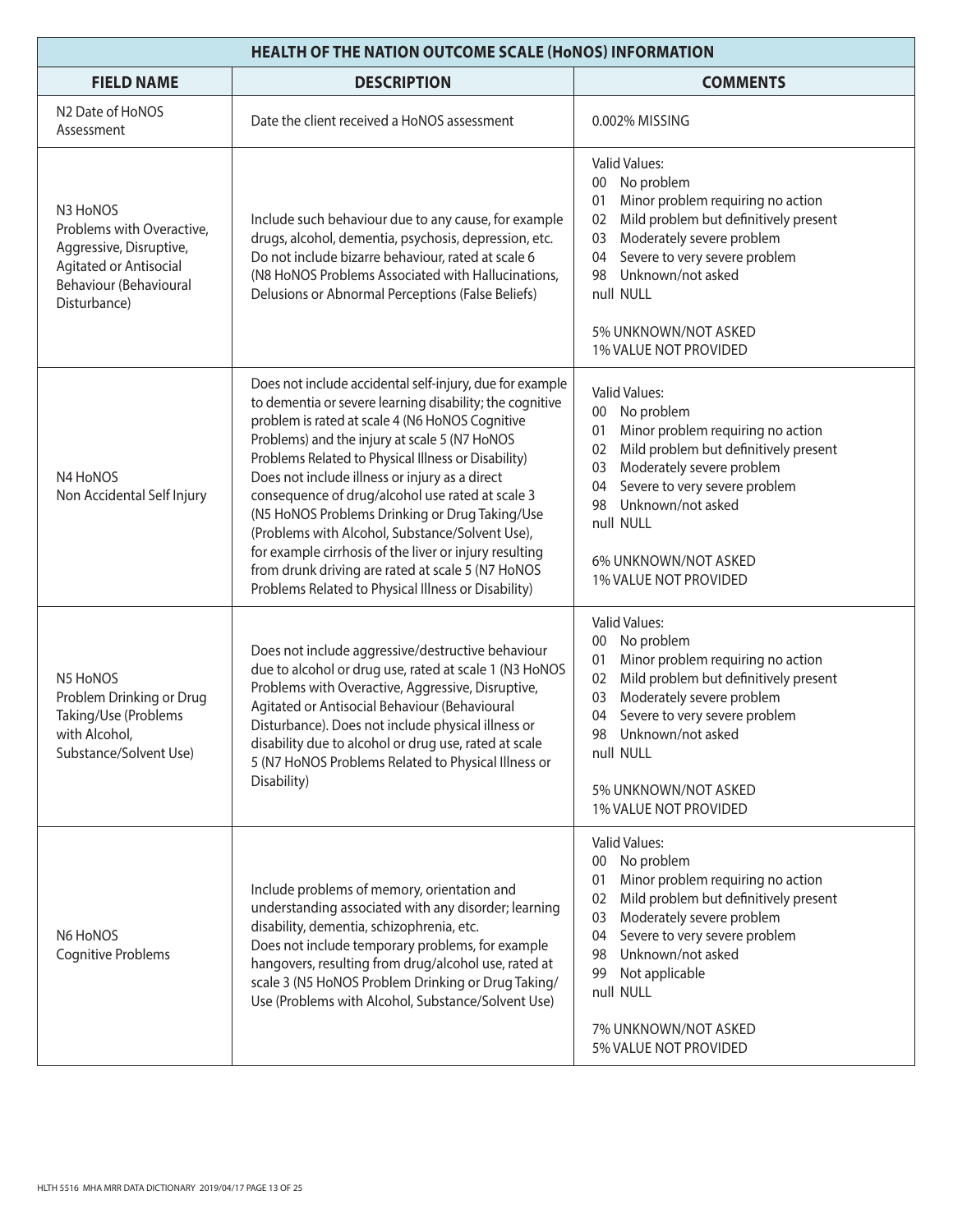| <b>HEALTH OF THE NATION OUTCOME SCALE (HONOS) INFORMATION</b>                                                                        |                                                                                                                                                                                                                                                                                                                                                                                                                                                                                                                                                                                                                                                                  |                                                                                                                                                                                                                                                                                                                        |
|--------------------------------------------------------------------------------------------------------------------------------------|------------------------------------------------------------------------------------------------------------------------------------------------------------------------------------------------------------------------------------------------------------------------------------------------------------------------------------------------------------------------------------------------------------------------------------------------------------------------------------------------------------------------------------------------------------------------------------------------------------------------------------------------------------------|------------------------------------------------------------------------------------------------------------------------------------------------------------------------------------------------------------------------------------------------------------------------------------------------------------------------|
| <b>FIELD NAME</b>                                                                                                                    | <b>DESCRIPTION</b>                                                                                                                                                                                                                                                                                                                                                                                                                                                                                                                                                                                                                                               | <b>COMMENTS</b>                                                                                                                                                                                                                                                                                                        |
| N2 Date of HoNOS<br>Assessment                                                                                                       | Date the client received a HoNOS assessment                                                                                                                                                                                                                                                                                                                                                                                                                                                                                                                                                                                                                      | 0.002% MISSING                                                                                                                                                                                                                                                                                                         |
| N3 HoNOS<br>Problems with Overactive,<br>Aggressive, Disruptive,<br>Agitated or Antisocial<br>Behaviour (Behavioural<br>Disturbance) | Include such behaviour due to any cause, for example<br>drugs, alcohol, dementia, psychosis, depression, etc.<br>Do not include bizarre behaviour, rated at scale 6<br>(N8 HoNOS Problems Associated with Hallucinations,<br>Delusions or Abnormal Perceptions (False Beliefs)                                                                                                                                                                                                                                                                                                                                                                                   | <b>Valid Values:</b><br>No problem<br>$00\,$<br>Minor problem requiring no action<br>01<br>Mild problem but definitively present<br>02<br>Moderately severe problem<br>03<br>Severe to very severe problem<br>04<br>Unknown/not asked<br>98<br>null NULL                                                               |
|                                                                                                                                      |                                                                                                                                                                                                                                                                                                                                                                                                                                                                                                                                                                                                                                                                  | 5% UNKNOWN/NOT ASKED<br>1% VALUE NOT PROVIDED                                                                                                                                                                                                                                                                          |
| N4 HoNOS<br>Non Accidental Self Injury                                                                                               | Does not include accidental self-injury, due for example<br>to dementia or severe learning disability; the cognitive<br>problem is rated at scale 4 (N6 HoNOS Cognitive<br>Problems) and the injury at scale 5 (N7 HoNOS<br>Problems Related to Physical Illness or Disability)<br>Does not include illness or injury as a direct<br>consequence of drug/alcohol use rated at scale 3<br>(N5 HoNOS Problems Drinking or Drug Taking/Use<br>(Problems with Alcohol, Substance/Solvent Use),<br>for example cirrhosis of the liver or injury resulting<br>from drunk driving are rated at scale 5 (N7 HoNOS<br>Problems Related to Physical Illness or Disability) | <b>Valid Values:</b><br>No problem<br>00<br>Minor problem requiring no action<br>01<br>Mild problem but definitively present<br>02<br>Moderately severe problem<br>03<br>Severe to very severe problem<br>04<br>Unknown/not asked<br>98<br>null NULL<br>6% UNKNOWN/NOT ASKED<br>1% VALUE NOT PROVIDED                  |
| N5 HoNOS<br>Problem Drinking or Drug<br>Taking/Use (Problems<br>with Alcohol,<br>Substance/Solvent Use)                              | Does not include aggressive/destructive behaviour<br>due to alcohol or drug use, rated at scale 1 (N3 HoNOS<br>Problems with Overactive, Aggressive, Disruptive,<br>Agitated or Antisocial Behaviour (Behavioural<br>Disturbance). Does not include physical illness or<br>disability due to alcohol or drug use, rated at scale<br>5 (N7 HoNOS Problems Related to Physical Illness or<br>Disability)                                                                                                                                                                                                                                                           | <b>Valid Values:</b><br>No problem<br>00<br>Minor problem requiring no action<br>01<br>Mild problem but definitively present<br>02<br>Moderately severe problem<br>03<br>Severe to very severe problem<br>04<br>98 Unknown/not asked<br>null NULL<br>5% UNKNOWN/NOT ASKED<br>1% VALUE NOT PROVIDED                     |
| N6 HoNOS<br><b>Cognitive Problems</b>                                                                                                | Include problems of memory, orientation and<br>understanding associated with any disorder; learning<br>disability, dementia, schizophrenia, etc.<br>Does not include temporary problems, for example<br>hangovers, resulting from drug/alcohol use, rated at<br>scale 3 (N5 HoNOS Problem Drinking or Drug Taking/<br>Use (Problems with Alcohol, Substance/Solvent Use)                                                                                                                                                                                                                                                                                         | Valid Values:<br>No problem<br>00<br>Minor problem requiring no action<br>01<br>Mild problem but definitively present<br>02<br>Moderately severe problem<br>03<br>Severe to very severe problem<br>04<br>Unknown/not asked<br>98<br>Not applicable<br>99<br>null NULL<br>7% UNKNOWN/NOT ASKED<br>5% VALUE NOT PROVIDED |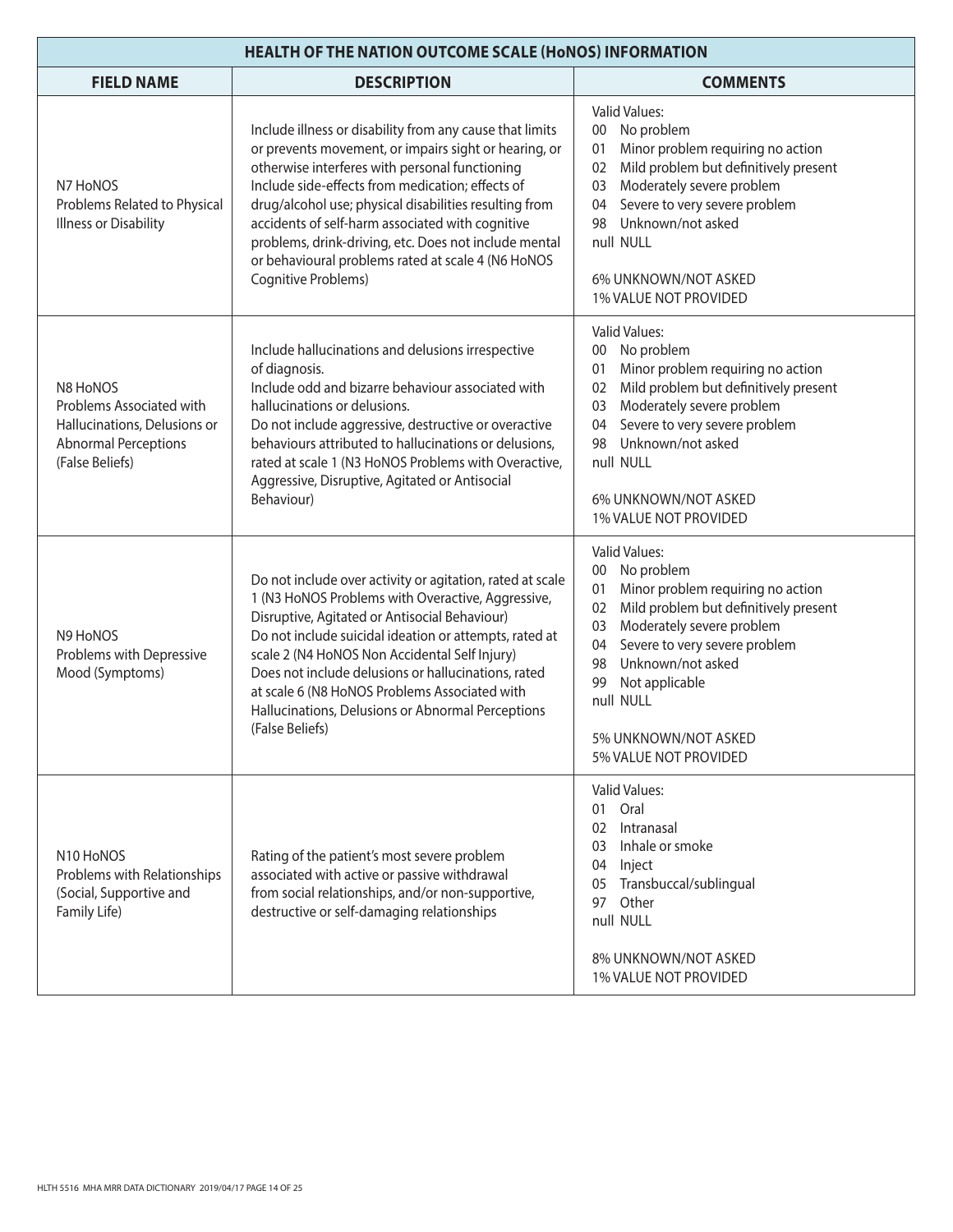| <b>HEALTH OF THE NATION OUTCOME SCALE (HONOS) INFORMATION</b>                                                          |                                                                                                                                                                                                                                                                                                                                                                                                                                                                             |                                                                                                                                                                                                                                                                                                                            |
|------------------------------------------------------------------------------------------------------------------------|-----------------------------------------------------------------------------------------------------------------------------------------------------------------------------------------------------------------------------------------------------------------------------------------------------------------------------------------------------------------------------------------------------------------------------------------------------------------------------|----------------------------------------------------------------------------------------------------------------------------------------------------------------------------------------------------------------------------------------------------------------------------------------------------------------------------|
| <b>FIELD NAME</b>                                                                                                      | <b>DESCRIPTION</b>                                                                                                                                                                                                                                                                                                                                                                                                                                                          | <b>COMMENTS</b>                                                                                                                                                                                                                                                                                                            |
| N7 HoNOS<br>Problems Related to Physical<br><b>Illness or Disability</b>                                               | Include illness or disability from any cause that limits<br>or prevents movement, or impairs sight or hearing, or<br>otherwise interferes with personal functioning<br>Include side-effects from medication; effects of<br>drug/alcohol use; physical disabilities resulting from<br>accidents of self-harm associated with cognitive<br>problems, drink-driving, etc. Does not include mental<br>or behavioural problems rated at scale 4 (N6 HoNOS<br>Cognitive Problems) | <b>Valid Values:</b><br>00 No problem<br>Minor problem requiring no action<br>01<br>Mild problem but definitively present<br>02<br>Moderately severe problem<br>03<br>Severe to very severe problem<br>04<br>Unknown/not asked<br>98<br>null NULL<br>6% UNKNOWN/NOT ASKED<br>1% VALUE NOT PROVIDED                         |
| N8 HoNOS<br>Problems Associated with<br>Hallucinations, Delusions or<br><b>Abnormal Perceptions</b><br>(False Beliefs) | Include hallucinations and delusions irrespective<br>of diagnosis.<br>Include odd and bizarre behaviour associated with<br>hallucinations or delusions.<br>Do not include aggressive, destructive or overactive<br>behaviours attributed to hallucinations or delusions,<br>rated at scale 1 (N3 HoNOS Problems with Overactive,<br>Aggressive, Disruptive, Agitated or Antisocial<br>Behaviour)                                                                            | <b>Valid Values:</b><br>00 No problem<br>Minor problem requiring no action<br>01<br>Mild problem but definitively present<br>02<br>Moderately severe problem<br>03<br>Severe to very severe problem<br>04<br>Unknown/not asked<br>98<br>null NULL<br>6% UNKNOWN/NOT ASKED<br>1% VALUE NOT PROVIDED                         |
| N9 HoNOS<br>Problems with Depressive<br>Mood (Symptoms)                                                                | Do not include over activity or agitation, rated at scale<br>1 (N3 HoNOS Problems with Overactive, Aggressive,<br>Disruptive, Agitated or Antisocial Behaviour)<br>Do not include suicidal ideation or attempts, rated at<br>scale 2 (N4 HoNOS Non Accidental Self Injury)<br>Does not include delusions or hallucinations, rated<br>at scale 6 (N8 HoNOS Problems Associated with<br>Hallucinations, Delusions or Abnormal Perceptions<br>(False Beliefs)                  | <b>Valid Values:</b><br>00 No problem<br>Minor problem requiring no action<br>01<br>Mild problem but definitively present<br>02<br>Moderately severe problem<br>03<br>Severe to very severe problem<br>04<br>Unknown/not asked<br>98<br>99<br>Not applicable<br>null NULL<br>5% UNKNOWN/NOT ASKED<br>5% VALUE NOT PROVIDED |
| N10 HoNOS<br>Problems with Relationships<br>(Social, Supportive and<br>Family Life)                                    | Rating of the patient's most severe problem<br>associated with active or passive withdrawal<br>from social relationships, and/or non-supportive,<br>destructive or self-damaging relationships                                                                                                                                                                                                                                                                              | <b>Valid Values:</b><br>01 Oral<br>Intranasal<br>02<br>Inhale or smoke<br>03<br>04<br>Inject<br>05 Transbuccal/sublingual<br>Other<br>97<br>null NULL<br>8% UNKNOWN/NOT ASKED<br>1% VALUE NOT PROVIDED                                                                                                                     |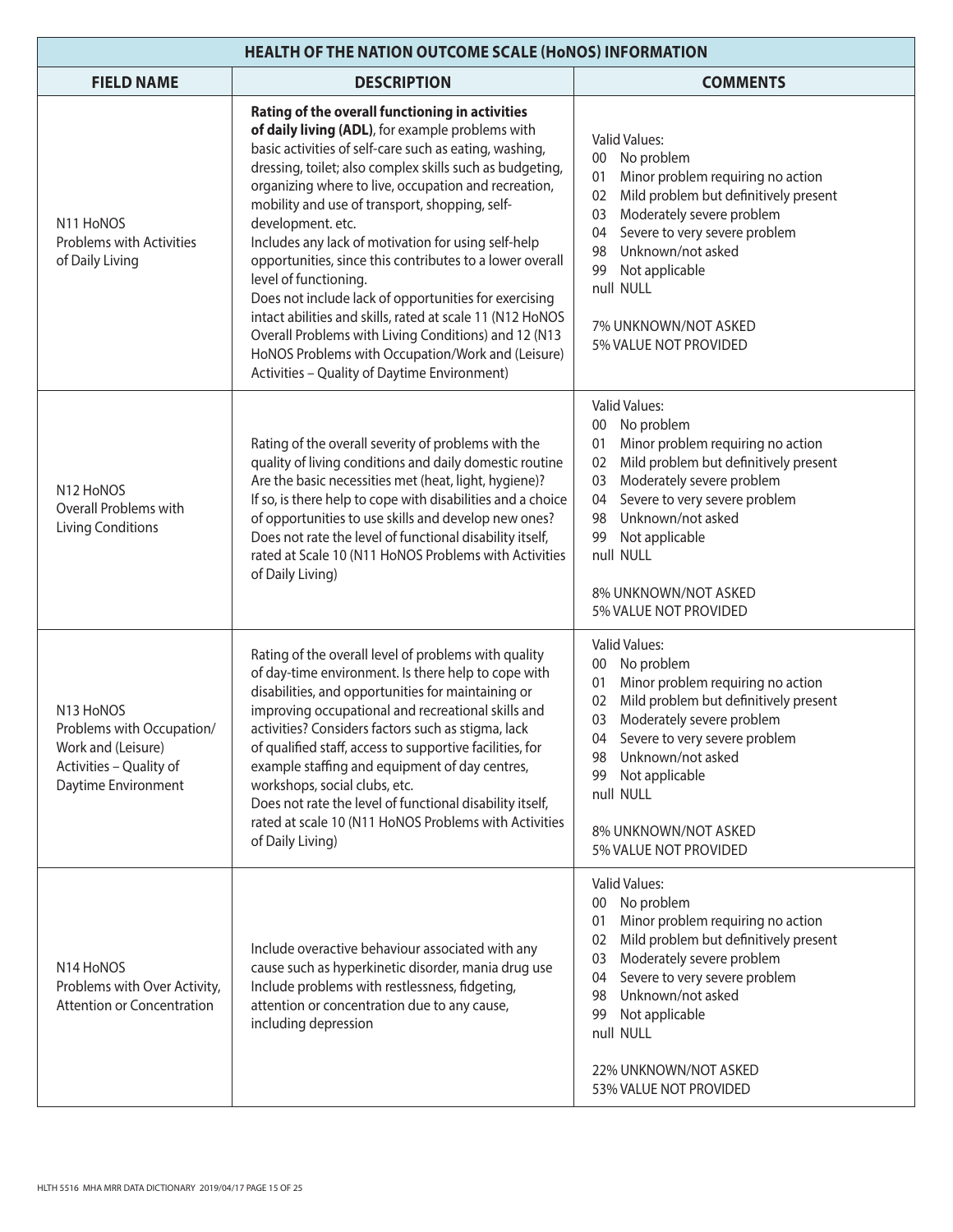| <b>HEALTH OF THE NATION OUTCOME SCALE (HONOS) INFORMATION</b>                                                  |                                                                                                                                                                                                                                                                                                                                                                                                                                                                                                                                                                                                                                                                                                                                                                                         |                                                                                                                                                                                                                                                                                                                                            |
|----------------------------------------------------------------------------------------------------------------|-----------------------------------------------------------------------------------------------------------------------------------------------------------------------------------------------------------------------------------------------------------------------------------------------------------------------------------------------------------------------------------------------------------------------------------------------------------------------------------------------------------------------------------------------------------------------------------------------------------------------------------------------------------------------------------------------------------------------------------------------------------------------------------------|--------------------------------------------------------------------------------------------------------------------------------------------------------------------------------------------------------------------------------------------------------------------------------------------------------------------------------------------|
| <b>FIELD NAME</b>                                                                                              | <b>DESCRIPTION</b>                                                                                                                                                                                                                                                                                                                                                                                                                                                                                                                                                                                                                                                                                                                                                                      | <b>COMMENTS</b>                                                                                                                                                                                                                                                                                                                            |
| N11 HoNOS<br><b>Problems with Activities</b><br>of Daily Living                                                | Rating of the overall functioning in activities<br>of daily living (ADL), for example problems with<br>basic activities of self-care such as eating, washing,<br>dressing, toilet; also complex skills such as budgeting,<br>organizing where to live, occupation and recreation,<br>mobility and use of transport, shopping, self-<br>development. etc.<br>Includes any lack of motivation for using self-help<br>opportunities, since this contributes to a lower overall<br>level of functioning.<br>Does not include lack of opportunities for exercising<br>intact abilities and skills, rated at scale 11 (N12 HoNOS<br>Overall Problems with Living Conditions) and 12 (N13<br>HoNOS Problems with Occupation/Work and (Leisure)<br>Activities - Quality of Daytime Environment) | <b>Valid Values:</b><br>No problem<br>$00\,$<br>Minor problem requiring no action<br>01<br>Mild problem but definitively present<br>02<br>Moderately severe problem<br>03<br>Severe to very severe problem<br>04<br>Unknown/not asked<br>98<br>Not applicable<br>99<br>null NULL<br>7% UNKNOWN/NOT ASKED<br>5% VALUE NOT PROVIDED          |
| N12 HoNOS<br>Overall Problems with<br><b>Living Conditions</b>                                                 | Rating of the overall severity of problems with the<br>quality of living conditions and daily domestic routine<br>Are the basic necessities met (heat, light, hygiene)?<br>If so, is there help to cope with disabilities and a choice<br>of opportunities to use skills and develop new ones?<br>Does not rate the level of functional disability itself,<br>rated at Scale 10 (N11 HoNOS Problems with Activities<br>of Daily Living)                                                                                                                                                                                                                                                                                                                                                 | <b>Valid Values:</b><br>No problem<br>00 <sup>°</sup><br>Minor problem requiring no action<br>01<br>Mild problem but definitively present<br>02<br>Moderately severe problem<br>03<br>Severe to very severe problem<br>04<br>Unknown/not asked<br>98<br>Not applicable<br>99<br>null NULL<br>8% UNKNOWN/NOT ASKED<br>5% VALUE NOT PROVIDED |
| N13 HoNOS<br>Problems with Occupation/<br>Work and (Leisure)<br>Activities - Quality of<br>Daytime Environment | Rating of the overall level of problems with quality<br>of day-time environment. Is there help to cope with<br>disabilities, and opportunities for maintaining or<br>improving occupational and recreational skills and<br>activities? Considers factors such as stigma, lack<br>of qualified staff, access to supportive facilities, for<br>example staffing and equipment of day centres,<br>workshops, social clubs, etc.<br>Does not rate the level of functional disability itself,<br>rated at scale 10 (N11 HoNOS Problems with Activities<br>of Daily Living)                                                                                                                                                                                                                   | <b>Valid Values:</b><br>00 No problem<br>Minor problem requiring no action<br>01<br>Mild problem but definitively present<br>02<br>Moderately severe problem<br>03<br>04<br>Severe to very severe problem<br>Unknown/not asked<br>98<br>Not applicable<br>99<br>null NULL<br>8% UNKNOWN/NOT ASKED<br>5% VALUE NOT PROVIDED                 |
| N <sub>14</sub> H <sub>o</sub> NOS<br>Problems with Over Activity,<br><b>Attention or Concentration</b>        | Include overactive behaviour associated with any<br>cause such as hyperkinetic disorder, mania drug use<br>Include problems with restlessness, fidgeting,<br>attention or concentration due to any cause,<br>including depression                                                                                                                                                                                                                                                                                                                                                                                                                                                                                                                                                       | <b>Valid Values:</b><br>00 No problem<br>Minor problem requiring no action<br>01<br>Mild problem but definitively present<br>02<br>Moderately severe problem<br>03<br>Severe to very severe problem<br>04<br>Unknown/not asked<br>98<br>Not applicable<br>99<br>null NULL<br>22% UNKNOWN/NOT ASKED<br>53% VALUE NOT PROVIDED               |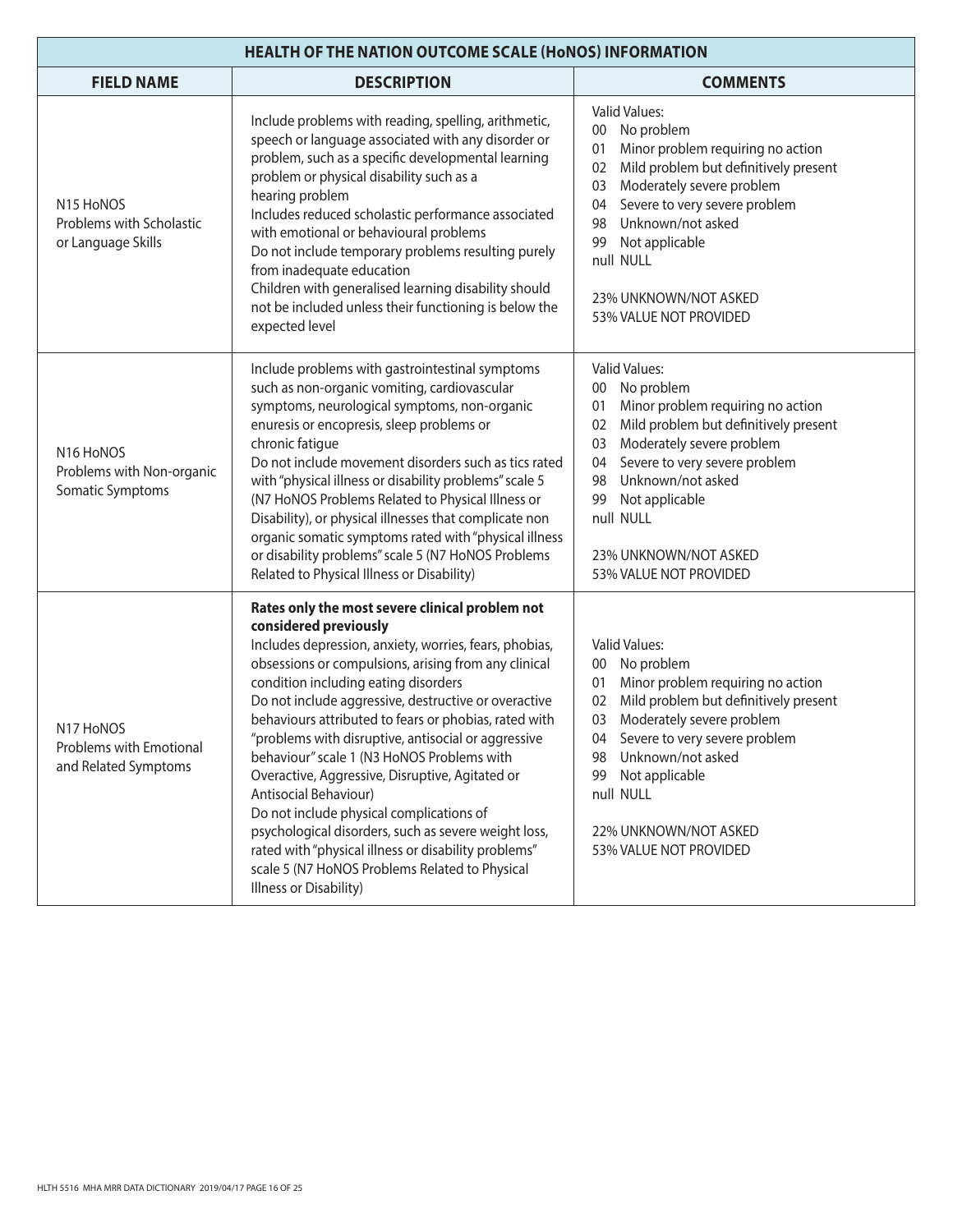| <b>HEALTH OF THE NATION OUTCOME SCALE (HONOS) INFORMATION</b>                        |                                                                                                                                                                                                                                                                                                                                                                                                                                                                                                                                                                                                                                                                                                                                                                              |                                                                                                                                                                                                                                                                                                                              |
|--------------------------------------------------------------------------------------|------------------------------------------------------------------------------------------------------------------------------------------------------------------------------------------------------------------------------------------------------------------------------------------------------------------------------------------------------------------------------------------------------------------------------------------------------------------------------------------------------------------------------------------------------------------------------------------------------------------------------------------------------------------------------------------------------------------------------------------------------------------------------|------------------------------------------------------------------------------------------------------------------------------------------------------------------------------------------------------------------------------------------------------------------------------------------------------------------------------|
| <b>FIELD NAME</b>                                                                    | <b>DESCRIPTION</b>                                                                                                                                                                                                                                                                                                                                                                                                                                                                                                                                                                                                                                                                                                                                                           | <b>COMMENTS</b>                                                                                                                                                                                                                                                                                                              |
| N <sub>15</sub> H <sub>o</sub> NOS<br>Problems with Scholastic<br>or Language Skills | Include problems with reading, spelling, arithmetic,<br>speech or language associated with any disorder or<br>problem, such as a specific developmental learning<br>problem or physical disability such as a<br>hearing problem<br>Includes reduced scholastic performance associated<br>with emotional or behavioural problems<br>Do not include temporary problems resulting purely<br>from inadequate education<br>Children with generalised learning disability should<br>not be included unless their functioning is below the<br>expected level                                                                                                                                                                                                                        | Valid Values:<br>No problem<br>$00\,$<br>Minor problem requiring no action<br>01<br>Mild problem but definitively present<br>02<br>Moderately severe problem<br>03<br>Severe to very severe problem<br>04<br>Unknown/not asked<br>98<br>Not applicable<br>99<br>null NULL<br>23% UNKNOWN/NOT ASKED<br>53% VALUE NOT PROVIDED |
| N16 HoNOS<br>Problems with Non-organic<br>Somatic Symptoms                           | Include problems with gastrointestinal symptoms<br>such as non-organic vomiting, cardiovascular<br>symptoms, neurological symptoms, non-organic<br>enuresis or encopresis, sleep problems or<br>chronic fatigue<br>Do not include movement disorders such as tics rated<br>with "physical illness or disability problems" scale 5<br>(N7 HoNOS Problems Related to Physical Illness or<br>Disability), or physical illnesses that complicate non<br>organic somatic symptoms rated with "physical illness<br>or disability problems" scale 5 (N7 HoNOS Problems<br>Related to Physical Illness or Disability)                                                                                                                                                                | Valid Values:<br>No problem<br>$00\,$<br>Minor problem requiring no action<br>01<br>Mild problem but definitively present<br>02<br>Moderately severe problem<br>03<br>Severe to very severe problem<br>04<br>Unknown/not asked<br>98<br>Not applicable<br>99<br>null NULL<br>23% UNKNOWN/NOT ASKED<br>53% VALUE NOT PROVIDED |
| N17 HoNOS<br>Problems with Emotional<br>and Related Symptoms                         | Rates only the most severe clinical problem not<br>considered previously<br>Includes depression, anxiety, worries, fears, phobias,<br>obsessions or compulsions, arising from any clinical<br>condition including eating disorders<br>Do not include aggressive, destructive or overactive<br>behaviours attributed to fears or phobias, rated with<br>"problems with disruptive, antisocial or aggressive<br>behaviour" scale 1 (N3 HoNOS Problems with<br>Overactive, Aggressive, Disruptive, Agitated or<br>Antisocial Behaviour)<br>Do not include physical complications of<br>psychological disorders, such as severe weight loss,<br>rated with "physical illness or disability problems"<br>scale 5 (N7 HoNOS Problems Related to Physical<br>Illness or Disability) | <b>Valid Values:</b><br>00 No problem<br>Minor problem requiring no action<br>01<br>Mild problem but definitively present<br>02<br>Moderately severe problem<br>03<br>04 Severe to very severe problem<br>Unknown/not asked<br>98<br>Not applicable<br>99<br>null NULL<br>22% UNKNOWN/NOT ASKED<br>53% VALUE NOT PROVIDED    |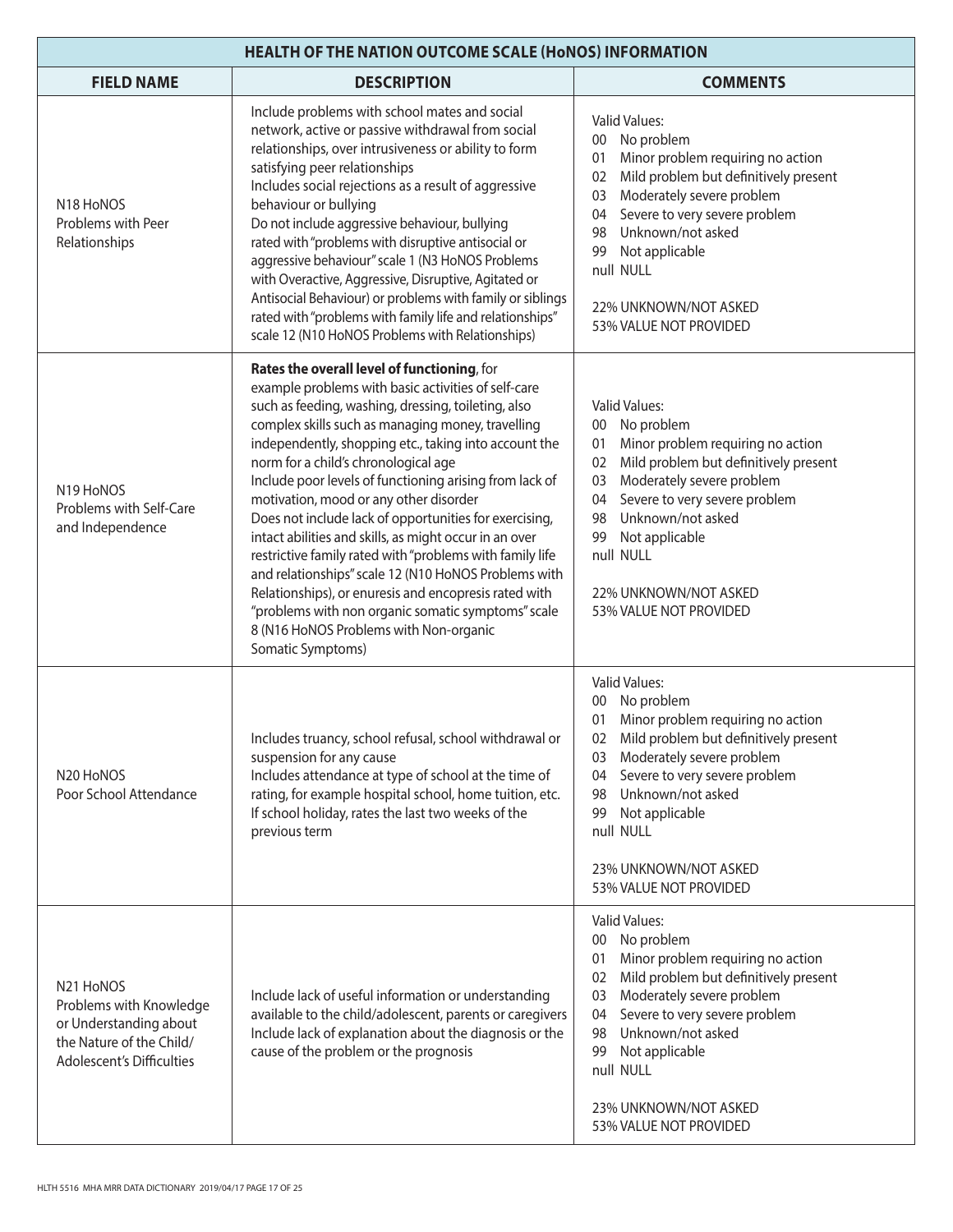| <b>HEALTH OF THE NATION OUTCOME SCALE (HONOS) INFORMATION</b>                                                                                    |                                                                                                                                                                                                                                                                                                                                                                                                                                                                                                                                                                                                                                                                                                                                                                                                                                            |                                                                                                                                                                                                                                                                                                                                              |
|--------------------------------------------------------------------------------------------------------------------------------------------------|--------------------------------------------------------------------------------------------------------------------------------------------------------------------------------------------------------------------------------------------------------------------------------------------------------------------------------------------------------------------------------------------------------------------------------------------------------------------------------------------------------------------------------------------------------------------------------------------------------------------------------------------------------------------------------------------------------------------------------------------------------------------------------------------------------------------------------------------|----------------------------------------------------------------------------------------------------------------------------------------------------------------------------------------------------------------------------------------------------------------------------------------------------------------------------------------------|
| <b>FIELD NAME</b>                                                                                                                                | <b>DESCRIPTION</b>                                                                                                                                                                                                                                                                                                                                                                                                                                                                                                                                                                                                                                                                                                                                                                                                                         | <b>COMMENTS</b>                                                                                                                                                                                                                                                                                                                              |
| N <sub>18</sub> H <sub>o</sub> NOS<br>Problems with Peer<br>Relationships                                                                        | Include problems with school mates and social<br>network, active or passive withdrawal from social<br>relationships, over intrusiveness or ability to form<br>satisfying peer relationships<br>Includes social rejections as a result of aggressive<br>behaviour or bullying<br>Do not include aggressive behaviour, bullying<br>rated with "problems with disruptive antisocial or<br>aggressive behaviour" scale 1 (N3 HoNOS Problems<br>with Overactive, Aggressive, Disruptive, Agitated or<br>Antisocial Behaviour) or problems with family or siblings<br>rated with "problems with family life and relationships"<br>scale 12 (N10 HoNOS Problems with Relationships)                                                                                                                                                               | <b>Valid Values:</b><br>No problem<br>00<br>Minor problem requiring no action<br>01<br>Mild problem but definitively present<br>02<br>Moderately severe problem<br>03<br>Severe to very severe problem<br>04<br>Unknown/not asked<br>98<br>Not applicable<br>99<br>null NULL<br>22% UNKNOWN/NOT ASKED<br>53% VALUE NOT PROVIDED              |
| N19 HoNOS<br>Problems with Self-Care<br>and Independence                                                                                         | Rates the overall level of functioning, for<br>example problems with basic activities of self-care<br>such as feeding, washing, dressing, toileting, also<br>complex skills such as managing money, travelling<br>independently, shopping etc., taking into account the<br>norm for a child's chronological age<br>Include poor levels of functioning arising from lack of<br>motivation, mood or any other disorder<br>Does not include lack of opportunities for exercising,<br>intact abilities and skills, as might occur in an over<br>restrictive family rated with "problems with family life<br>and relationships" scale 12 (N10 HoNOS Problems with<br>Relationships), or enuresis and encopresis rated with<br>"problems with non organic somatic symptoms" scale<br>8 (N16 HoNOS Problems with Non-organic<br>Somatic Symptoms) | <b>Valid Values:</b><br>No problem<br>00 <sup>°</sup><br>Minor problem requiring no action<br>01<br>Mild problem but definitively present<br>02<br>Moderately severe problem<br>03<br>Severe to very severe problem<br>04<br>Unknown/not asked<br>98<br>Not applicable<br>99<br>null NULL<br>22% UNKNOWN/NOT ASKED<br>53% VALUE NOT PROVIDED |
| N <sub>20</sub> H <sub>o</sub> NOS<br>Poor School Attendance                                                                                     | Includes truancy, school refusal, school withdrawal or<br>suspension for any cause<br>Includes attendance at type of school at the time of<br>rating, for example hospital school, home tuition, etc.<br>If school holiday, rates the last two weeks of the<br>previous term                                                                                                                                                                                                                                                                                                                                                                                                                                                                                                                                                               | <b>Valid Values:</b><br>00 No problem<br>Minor problem requiring no action<br>01<br>02 Mild problem but definitively present<br>Moderately severe problem<br>03<br>Severe to very severe problem<br>04<br>Unknown/not asked<br>98<br>Not applicable<br>99<br>null NULL<br>23% UNKNOWN/NOT ASKED<br>53% VALUE NOT PROVIDED                    |
| N <sub>21</sub> H <sub>o</sub> NOS<br>Problems with Knowledge<br>or Understanding about<br>the Nature of the Child/<br>Adolescent's Difficulties | Include lack of useful information or understanding<br>available to the child/adolescent, parents or caregivers<br>Include lack of explanation about the diagnosis or the<br>cause of the problem or the prognosis                                                                                                                                                                                                                                                                                                                                                                                                                                                                                                                                                                                                                         | <b>Valid Values:</b><br>00 No problem<br>Minor problem requiring no action<br>01<br>Mild problem but definitively present<br>02<br>Moderately severe problem<br>03<br>Severe to very severe problem<br>04<br>Unknown/not asked<br>98<br>Not applicable<br>99<br>null NULL<br>23% UNKNOWN/NOT ASKED<br>53% VALUE NOT PROVIDED                 |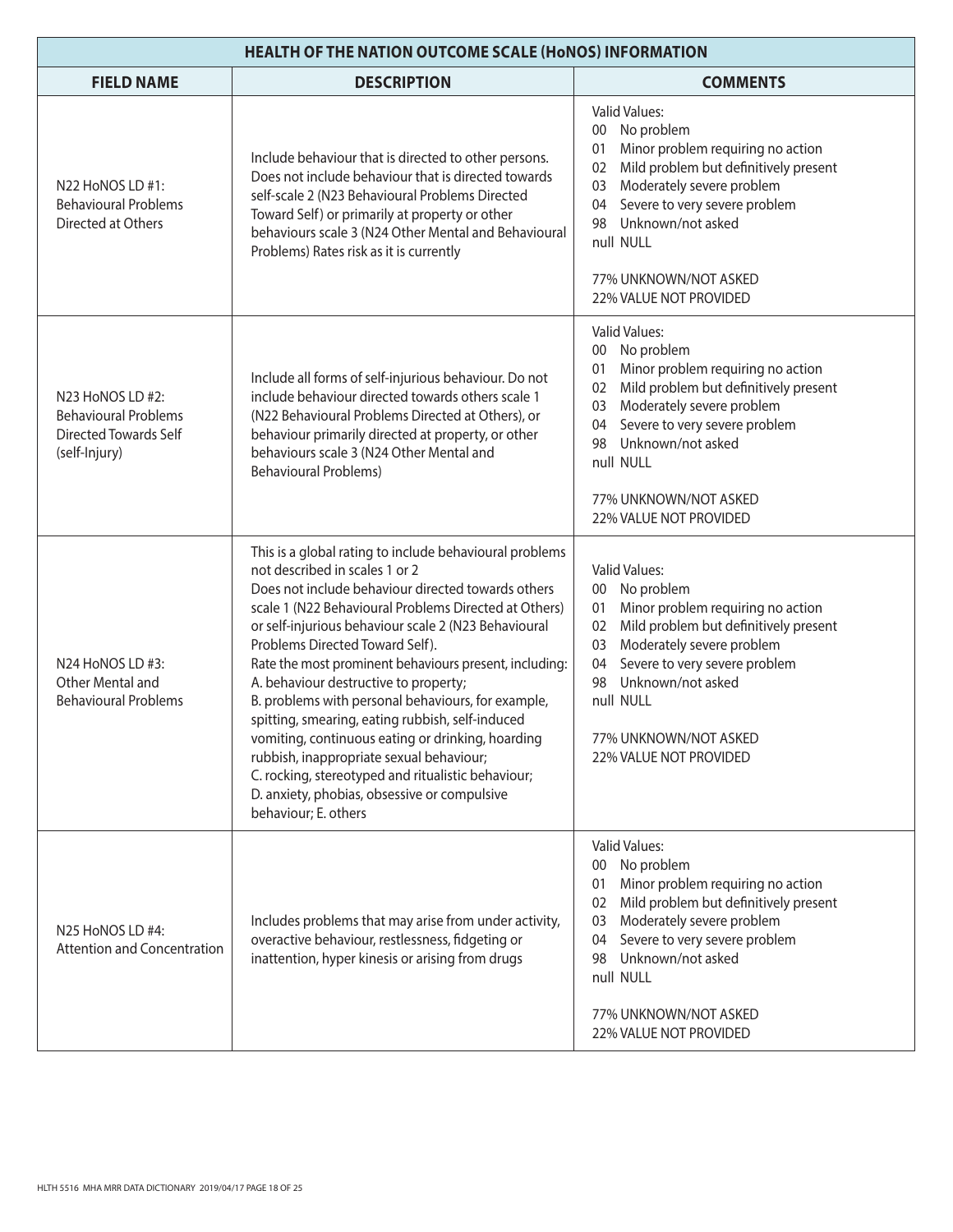| <b>HEALTH OF THE NATION OUTCOME SCALE (HONOS) INFORMATION</b>                                    |                                                                                                                                                                                                                                                                                                                                                                                                                                                                                                                                                                                                                                                                                                                                                 |                                                                                                                                                                                                                                                                                                             |
|--------------------------------------------------------------------------------------------------|-------------------------------------------------------------------------------------------------------------------------------------------------------------------------------------------------------------------------------------------------------------------------------------------------------------------------------------------------------------------------------------------------------------------------------------------------------------------------------------------------------------------------------------------------------------------------------------------------------------------------------------------------------------------------------------------------------------------------------------------------|-------------------------------------------------------------------------------------------------------------------------------------------------------------------------------------------------------------------------------------------------------------------------------------------------------------|
| <b>FIELD NAME</b>                                                                                | <b>DESCRIPTION</b>                                                                                                                                                                                                                                                                                                                                                                                                                                                                                                                                                                                                                                                                                                                              | <b>COMMENTS</b>                                                                                                                                                                                                                                                                                             |
| N22 HoNOS LD #1:<br><b>Behavioural Problems</b><br>Directed at Others                            | Include behaviour that is directed to other persons.<br>Does not include behaviour that is directed towards<br>self-scale 2 (N23 Behavioural Problems Directed<br>Toward Self) or primarily at property or other<br>behaviours scale 3 (N24 Other Mental and Behavioural<br>Problems) Rates risk as it is currently                                                                                                                                                                                                                                                                                                                                                                                                                             | <b>Valid Values:</b><br>No problem<br>$00\,$<br>Minor problem requiring no action<br>01<br>Mild problem but definitively present<br>02<br>Moderately severe problem<br>03<br>Severe to very severe problem<br>04<br>Unknown/not asked<br>98<br>null NULL<br>77% UNKNOWN/NOT ASKED<br>22% VALUE NOT PROVIDED |
| N23 HoNOS LD #2:<br><b>Behavioural Problems</b><br><b>Directed Towards Self</b><br>(self-Injury) | Include all forms of self-injurious behaviour. Do not<br>include behaviour directed towards others scale 1<br>(N22 Behavioural Problems Directed at Others), or<br>behaviour primarily directed at property, or other<br>behaviours scale 3 (N24 Other Mental and<br><b>Behavioural Problems)</b>                                                                                                                                                                                                                                                                                                                                                                                                                                               | <b>Valid Values:</b><br>No problem<br>00<br>Minor problem requiring no action<br>01<br>Mild problem but definitively present<br>02<br>Moderately severe problem<br>03<br>Severe to very severe problem<br>04<br>Unknown/not asked<br>98<br>null NULL<br>77% UNKNOWN/NOT ASKED<br>22% VALUE NOT PROVIDED     |
| N24 HoNOS LD #3:<br>Other Mental and<br><b>Behavioural Problems</b>                              | This is a global rating to include behavioural problems<br>not described in scales 1 or 2<br>Does not include behaviour directed towards others<br>scale 1 (N22 Behavioural Problems Directed at Others)<br>or self-injurious behaviour scale 2 (N23 Behavioural<br>Problems Directed Toward Self).<br>Rate the most prominent behaviours present, including:<br>A. behaviour destructive to property;<br>B. problems with personal behaviours, for example,<br>spitting, smearing, eating rubbish, self-induced<br>vomiting, continuous eating or drinking, hoarding<br>rubbish, inappropriate sexual behaviour;<br>C. rocking, stereotyped and ritualistic behaviour;<br>D. anxiety, phobias, obsessive or compulsive<br>behaviour; E. others | <b>Valid Values:</b><br>00 No problem<br>Minor problem requiring no action<br>01<br>Mild problem but definitively present<br>02<br>Moderately severe problem<br>03<br>Severe to very severe problem<br>04<br>Unknown/not asked<br>98<br>null NULL<br>77% UNKNOWN/NOT ASKED<br><b>22% VALUE NOT PROVIDED</b> |
| N25 HoNOS LD #4:<br><b>Attention and Concentration</b>                                           | Includes problems that may arise from under activity,<br>overactive behaviour, restlessness, fidgeting or<br>inattention, hyper kinesis or arising from drugs                                                                                                                                                                                                                                                                                                                                                                                                                                                                                                                                                                                   | <b>Valid Values:</b><br>No problem<br>00<br>Minor problem requiring no action<br>01<br>Mild problem but definitively present<br>02<br>Moderately severe problem<br>03<br>Severe to very severe problem<br>04<br>Unknown/not asked<br>98<br>null NULL<br>77% UNKNOWN/NOT ASKED<br>22% VALUE NOT PROVIDED     |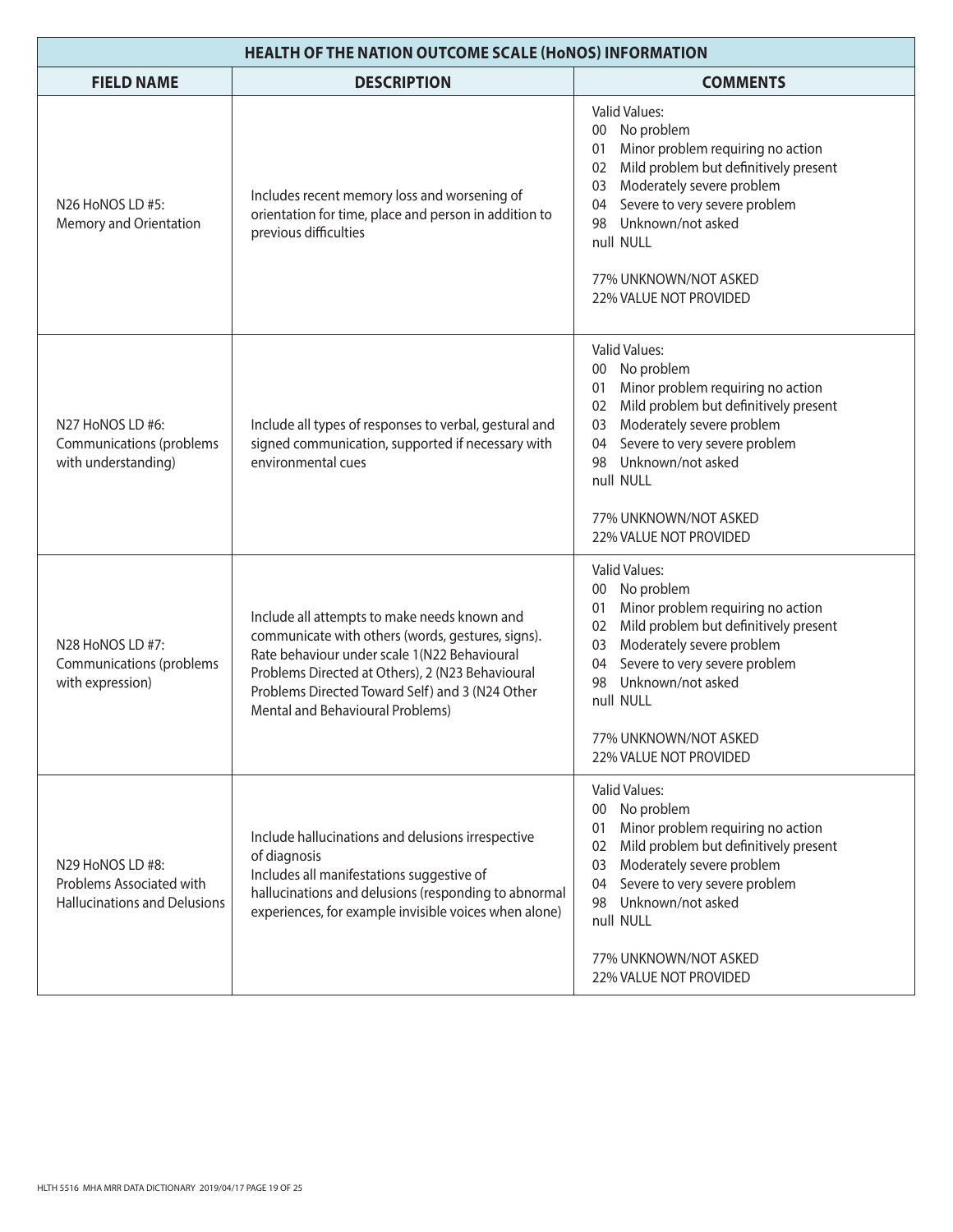| HEALTH OF THE NATION OUTCOME SCALE (HoNOS) INFORMATION                              |                                                                                                                                                                                                                                                                                              |                                                                                                                                                                                                                                                                                                                   |
|-------------------------------------------------------------------------------------|----------------------------------------------------------------------------------------------------------------------------------------------------------------------------------------------------------------------------------------------------------------------------------------------|-------------------------------------------------------------------------------------------------------------------------------------------------------------------------------------------------------------------------------------------------------------------------------------------------------------------|
| <b>FIELD NAME</b>                                                                   | <b>DESCRIPTION</b>                                                                                                                                                                                                                                                                           | <b>COMMENTS</b>                                                                                                                                                                                                                                                                                                   |
| N26 HoNOS LD #5:<br>Memory and Orientation                                          | Includes recent memory loss and worsening of<br>orientation for time, place and person in addition to<br>previous difficulties                                                                                                                                                               | <b>Valid Values:</b><br>00 No problem<br>Minor problem requiring no action<br>01<br>Mild problem but definitively present<br>02 <sub>2</sub><br>Moderately severe problem<br>03<br>Severe to very severe problem<br>04<br>Unknown/not asked<br>98<br>null NULL<br>77% UNKNOWN/NOT ASKED<br>22% VALUE NOT PROVIDED |
| N27 HoNOS LD #6:<br>Communications (problems<br>with understanding)                 | Include all types of responses to verbal, gestural and<br>signed communication, supported if necessary with<br>environmental cues                                                                                                                                                            | <b>Valid Values:</b><br>00 No problem<br>Minor problem requiring no action<br>01<br>Mild problem but definitively present<br>02<br>Moderately severe problem<br>03<br>Severe to very severe problem<br>04<br>Unknown/not asked<br>98<br>null NULL<br>77% UNKNOWN/NOT ASKED<br>22% VALUE NOT PROVIDED              |
| N28 HoNOS LD #7:<br>Communications (problems<br>with expression)                    | Include all attempts to make needs known and<br>communicate with others (words, gestures, signs).<br>Rate behaviour under scale 1(N22 Behavioural<br>Problems Directed at Others), 2 (N23 Behavioural<br>Problems Directed Toward Self) and 3 (N24 Other<br>Mental and Behavioural Problems) | <b>Valid Values:</b><br>00 No problem<br>Minor problem requiring no action<br>01<br>Mild problem but definitively present<br>02<br>Moderately severe problem<br>03<br>Severe to very severe problem<br>04<br>Unknown/not asked<br>98<br>null NULL<br>77% UNKNOWN/NOT ASKED<br>22% VALUE NOT PROVIDED              |
| N29 HoNOS LD #8:<br>Problems Associated with<br><b>Hallucinations and Delusions</b> | Include hallucinations and delusions irrespective<br>of diagnosis<br>Includes all manifestations suggestive of<br>hallucinations and delusions (responding to abnormal<br>experiences, for example invisible voices when alone)                                                              | <b>Valid Values:</b><br>No problem<br>$00\,$<br>Minor problem requiring no action<br>01<br>Mild problem but definitively present<br>02<br>Moderately severe problem<br>03<br>Severe to very severe problem<br>04<br>Unknown/not asked<br>98<br>null NULL<br>77% UNKNOWN/NOT ASKED<br>22% VALUE NOT PROVIDED       |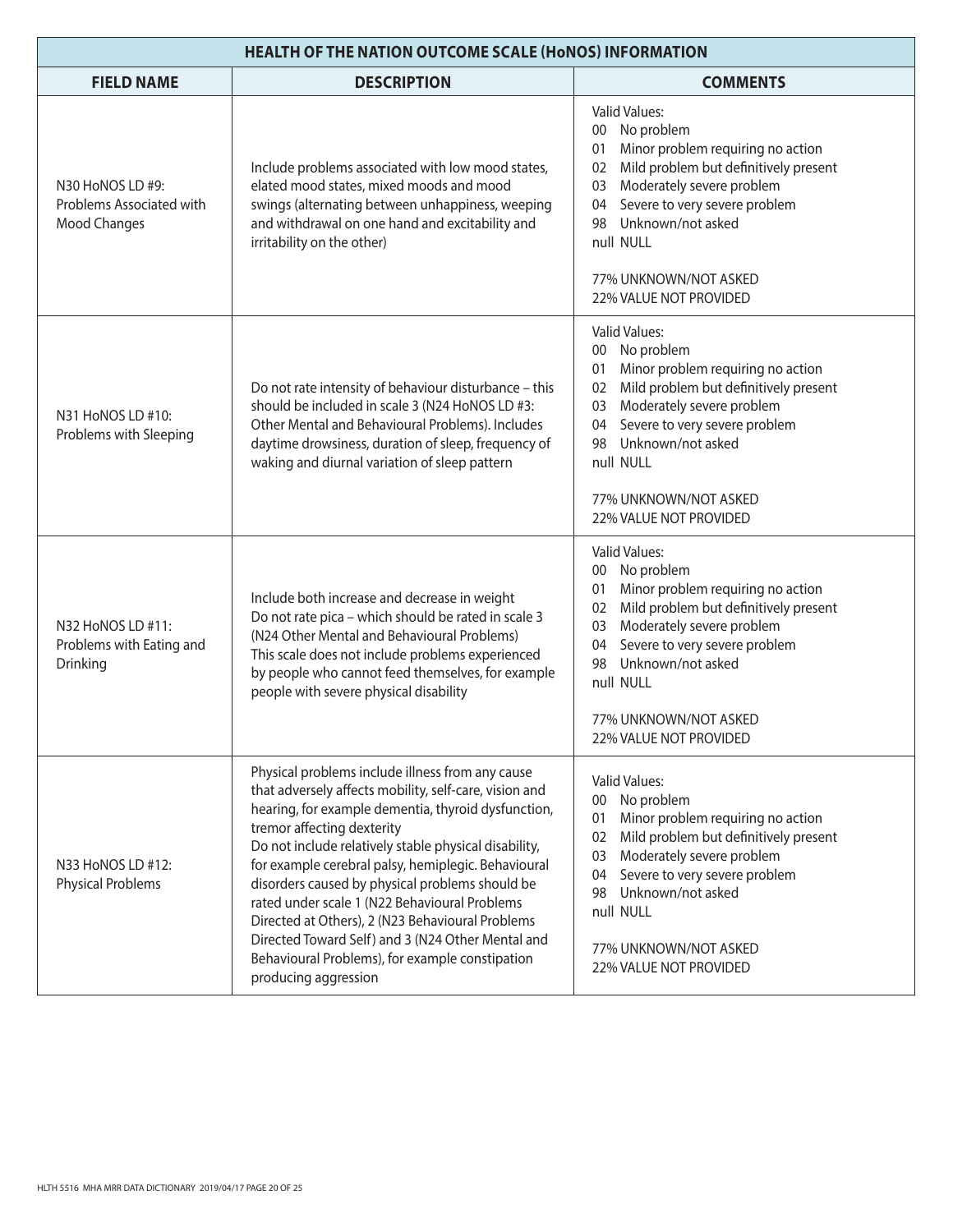| <b>HEALTH OF THE NATION OUTCOME SCALE (HONOS) INFORMATION</b> |                                                                                                                                                                                                                                                                                                                                                                                                                                                                                                                                                                                                         |                                                                                                                                                                                                                                                                                                             |
|---------------------------------------------------------------|---------------------------------------------------------------------------------------------------------------------------------------------------------------------------------------------------------------------------------------------------------------------------------------------------------------------------------------------------------------------------------------------------------------------------------------------------------------------------------------------------------------------------------------------------------------------------------------------------------|-------------------------------------------------------------------------------------------------------------------------------------------------------------------------------------------------------------------------------------------------------------------------------------------------------------|
| <b>FIELD NAME</b>                                             | <b>DESCRIPTION</b>                                                                                                                                                                                                                                                                                                                                                                                                                                                                                                                                                                                      | <b>COMMENTS</b>                                                                                                                                                                                                                                                                                             |
| N30 HoNOS LD #9:<br>Problems Associated with<br>Mood Changes  | Include problems associated with low mood states,<br>elated mood states, mixed moods and mood<br>swings (alternating between unhappiness, weeping<br>and withdrawal on one hand and excitability and<br>irritability on the other)                                                                                                                                                                                                                                                                                                                                                                      | <b>Valid Values:</b><br>No problem<br>$00\,$<br>Minor problem requiring no action<br>01<br>Mild problem but definitively present<br>02<br>Moderately severe problem<br>03<br>Severe to very severe problem<br>04<br>Unknown/not asked<br>98<br>null NULL<br>77% UNKNOWN/NOT ASKED<br>22% VALUE NOT PROVIDED |
| N31 HoNOS LD #10:<br>Problems with Sleeping                   | Do not rate intensity of behaviour disturbance - this<br>should be included in scale 3 (N24 HoNOS LD #3:<br>Other Mental and Behavioural Problems). Includes<br>daytime drowsiness, duration of sleep, frequency of<br>waking and diurnal variation of sleep pattern                                                                                                                                                                                                                                                                                                                                    | <b>Valid Values:</b><br>No problem<br>00<br>Minor problem requiring no action<br>01<br>Mild problem but definitively present<br>02<br>Moderately severe problem<br>03<br>Severe to very severe problem<br>04<br>Unknown/not asked<br>98<br>null NULL<br>77% UNKNOWN/NOT ASKED<br>22% VALUE NOT PROVIDED     |
| N32 HoNOS LD #11:<br>Problems with Eating and<br>Drinking     | Include both increase and decrease in weight<br>Do not rate pica - which should be rated in scale 3<br>(N24 Other Mental and Behavioural Problems)<br>This scale does not include problems experienced<br>by people who cannot feed themselves, for example<br>people with severe physical disability                                                                                                                                                                                                                                                                                                   | <b>Valid Values:</b><br>00 No problem<br>Minor problem requiring no action<br>01<br>Mild problem but definitively present<br>02<br>Moderately severe problem<br>03<br>Severe to very severe problem<br>04<br>Unknown/not asked<br>98<br>null NULL<br>77% UNKNOWN/NOT ASKED<br>22% VALUE NOT PROVIDED        |
| N33 HoNOS LD #12:<br><b>Physical Problems</b>                 | Physical problems include illness from any cause<br>that adversely affects mobility, self-care, vision and<br>hearing, for example dementia, thyroid dysfunction,<br>tremor affecting dexterity<br>Do not include relatively stable physical disability,<br>for example cerebral palsy, hemiplegic. Behavioural<br>disorders caused by physical problems should be<br>rated under scale 1 (N22 Behavioural Problems<br>Directed at Others), 2 (N23 Behavioural Problems<br>Directed Toward Self) and 3 (N24 Other Mental and<br>Behavioural Problems), for example constipation<br>producing aggression | <b>Valid Values:</b><br>No problem<br>00<br>Minor problem requiring no action<br>01<br>Mild problem but definitively present<br>02<br>Moderately severe problem<br>03<br>Severe to very severe problem<br>04<br>Unknown/not asked<br>98<br>null NULL<br>77% UNKNOWN/NOT ASKED<br>22% VALUE NOT PROVIDED     |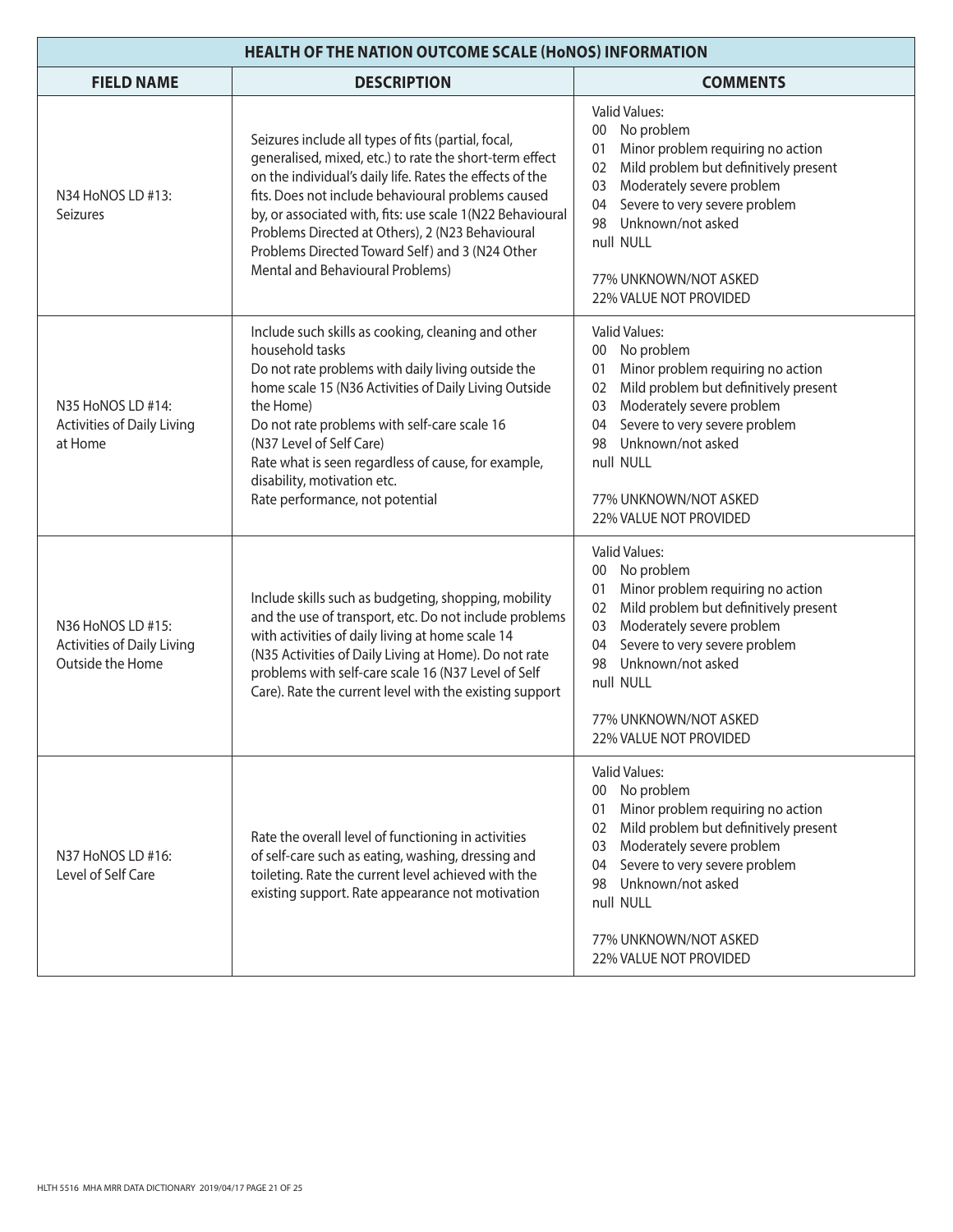| <b>HEALTH OF THE NATION OUTCOME SCALE (HONOS) INFORMATION</b>              |                                                                                                                                                                                                                                                                                                                                                                                                                                          |                                                                                                                                                                                                                                                                                                             |
|----------------------------------------------------------------------------|------------------------------------------------------------------------------------------------------------------------------------------------------------------------------------------------------------------------------------------------------------------------------------------------------------------------------------------------------------------------------------------------------------------------------------------|-------------------------------------------------------------------------------------------------------------------------------------------------------------------------------------------------------------------------------------------------------------------------------------------------------------|
| <b>FIELD NAME</b>                                                          | <b>DESCRIPTION</b>                                                                                                                                                                                                                                                                                                                                                                                                                       | <b>COMMENTS</b>                                                                                                                                                                                                                                                                                             |
| N34 HoNOS LD #13:<br>Seizures                                              | Seizures include all types of fits (partial, focal,<br>generalised, mixed, etc.) to rate the short-term effect<br>on the individual's daily life. Rates the effects of the<br>fits. Does not include behavioural problems caused<br>by, or associated with, fits: use scale 1(N22 Behavioural<br>Problems Directed at Others), 2 (N23 Behavioural<br>Problems Directed Toward Self) and 3 (N24 Other<br>Mental and Behavioural Problems) | <b>Valid Values:</b><br>No problem<br>$00\,$<br>Minor problem requiring no action<br>01<br>Mild problem but definitively present<br>02<br>Moderately severe problem<br>03<br>Severe to very severe problem<br>04<br>Unknown/not asked<br>98<br>null NULL<br>77% UNKNOWN/NOT ASKED<br>22% VALUE NOT PROVIDED |
| N35 HoNOS LD #14:<br><b>Activities of Daily Living</b><br>at Home          | Include such skills as cooking, cleaning and other<br>household tasks<br>Do not rate problems with daily living outside the<br>home scale 15 (N36 Activities of Daily Living Outside<br>the Home)<br>Do not rate problems with self-care scale 16<br>(N37 Level of Self Care)<br>Rate what is seen regardless of cause, for example,<br>disability, motivation etc.<br>Rate performance, not potential                                   | <b>Valid Values:</b><br>No problem<br>00<br>Minor problem requiring no action<br>01<br>Mild problem but definitively present<br>02<br>Moderately severe problem<br>03<br>Severe to very severe problem<br>04<br>Unknown/not asked<br>98<br>null NULL<br>77% UNKNOWN/NOT ASKED<br>22% VALUE NOT PROVIDED     |
| N36 HoNOS LD #15:<br><b>Activities of Daily Living</b><br>Outside the Home | Include skills such as budgeting, shopping, mobility<br>and the use of transport, etc. Do not include problems<br>with activities of daily living at home scale 14<br>(N35 Activities of Daily Living at Home). Do not rate<br>problems with self-care scale 16 (N37 Level of Self<br>Care). Rate the current level with the existing support                                                                                            | <b>Valid Values:</b><br>00 No problem<br>Minor problem requiring no action<br>01<br>Mild problem but definitively present<br>02<br>Moderately severe problem<br>03<br>Severe to very severe problem<br>04<br>Unknown/not asked<br>98<br>null NULL<br>77% UNKNOWN/NOT ASKED<br>22% VALUE NOT PROVIDED        |
| N37 HoNOS LD #16:<br>Level of Self Care                                    | Rate the overall level of functioning in activities<br>of self-care such as eating, washing, dressing and<br>toileting. Rate the current level achieved with the<br>existing support. Rate appearance not motivation                                                                                                                                                                                                                     | <b>Valid Values:</b><br>No problem<br>00<br>Minor problem requiring no action<br>01<br>Mild problem but definitively present<br>02<br>Moderately severe problem<br>03<br>Severe to very severe problem<br>04<br>Unknown/not asked<br>98<br>null NULL<br>77% UNKNOWN/NOT ASKED<br>22% VALUE NOT PROVIDED     |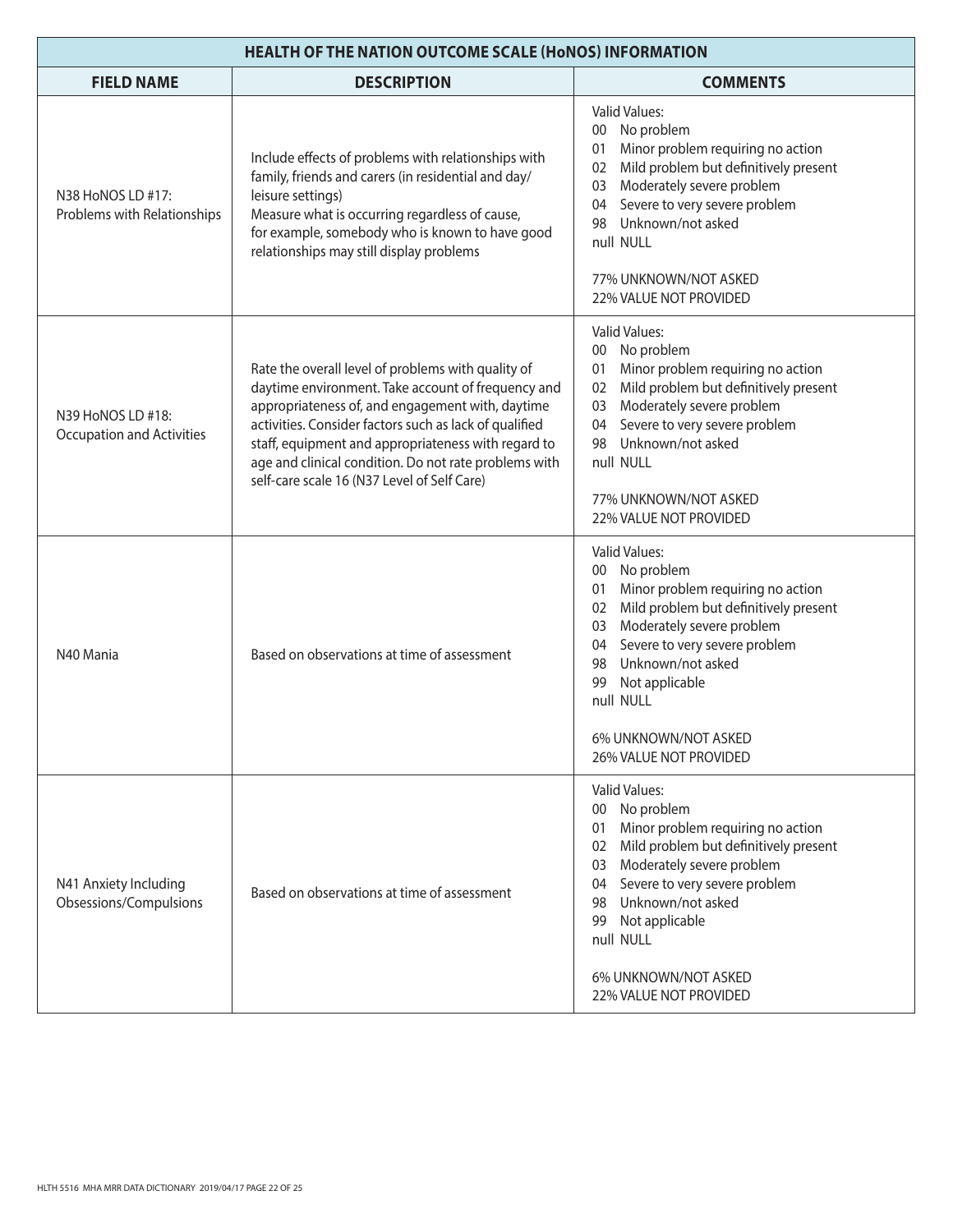| <b>HEALTH OF THE NATION OUTCOME SCALE (HONOS) INFORMATION</b> |                                                                                                                                                                                                                                                                                                                                                                                       |                                                                                                                                                                                                                                                                                                                                    |
|---------------------------------------------------------------|---------------------------------------------------------------------------------------------------------------------------------------------------------------------------------------------------------------------------------------------------------------------------------------------------------------------------------------------------------------------------------------|------------------------------------------------------------------------------------------------------------------------------------------------------------------------------------------------------------------------------------------------------------------------------------------------------------------------------------|
| <b>FIELD NAME</b>                                             | <b>DESCRIPTION</b>                                                                                                                                                                                                                                                                                                                                                                    | <b>COMMENTS</b>                                                                                                                                                                                                                                                                                                                    |
| N38 HoNOS LD #17:<br>Problems with Relationships              | Include effects of problems with relationships with<br>family, friends and carers (in residential and day/<br>leisure settings)<br>Measure what is occurring regardless of cause,<br>for example, somebody who is known to have good<br>relationships may still display problems                                                                                                      | <b>Valid Values:</b><br>00 No problem<br>Minor problem requiring no action<br>01<br>Mild problem but definitively present<br>02<br>Moderately severe problem<br>03<br>Severe to very severe problem<br>04<br>Unknown/not asked<br>98<br>null NULL<br>77% UNKNOWN/NOT ASKED<br>22% VALUE NOT PROVIDED                               |
| N39 HoNOS LD #18:<br><b>Occupation and Activities</b>         | Rate the overall level of problems with quality of<br>daytime environment. Take account of frequency and<br>appropriateness of, and engagement with, daytime<br>activities. Consider factors such as lack of qualified<br>staff, equipment and appropriateness with regard to<br>age and clinical condition. Do not rate problems with<br>self-care scale 16 (N37 Level of Self Care) | <b>Valid Values:</b><br>00 No problem<br>Minor problem requiring no action<br>01<br>Mild problem but definitively present<br>02<br>Moderately severe problem<br>03<br>Severe to very severe problem<br>04<br>Unknown/not asked<br>98<br>null NULL<br>77% UNKNOWN/NOT ASKED<br>22% VALUE NOT PROVIDED                               |
| N40 Mania                                                     | Based on observations at time of assessment                                                                                                                                                                                                                                                                                                                                           | <b>Valid Values:</b><br>00 No problem<br>Minor problem requiring no action<br>01<br>Mild problem but definitively present<br>02<br>Moderately severe problem<br>03<br>Severe to very severe problem<br>04<br>Unknown/not asked<br>98<br>Not applicable<br>99<br>null NULL<br>6% UNKNOWN/NOT ASKED<br><b>26% VALUE NOT PROVIDED</b> |
| N41 Anxiety Including<br>Obsessions/Compulsions               | Based on observations at time of assessment                                                                                                                                                                                                                                                                                                                                           | <b>Valid Values:</b><br>No problem<br>00<br>Minor problem requiring no action<br>01<br>Mild problem but definitively present<br>02<br>Moderately severe problem<br>03<br>Severe to very severe problem<br>04<br>Unknown/not asked<br>98<br>Not applicable<br>99<br>null NULL<br>6% UNKNOWN/NOT ASKED<br>22% VALUE NOT PROVIDED     |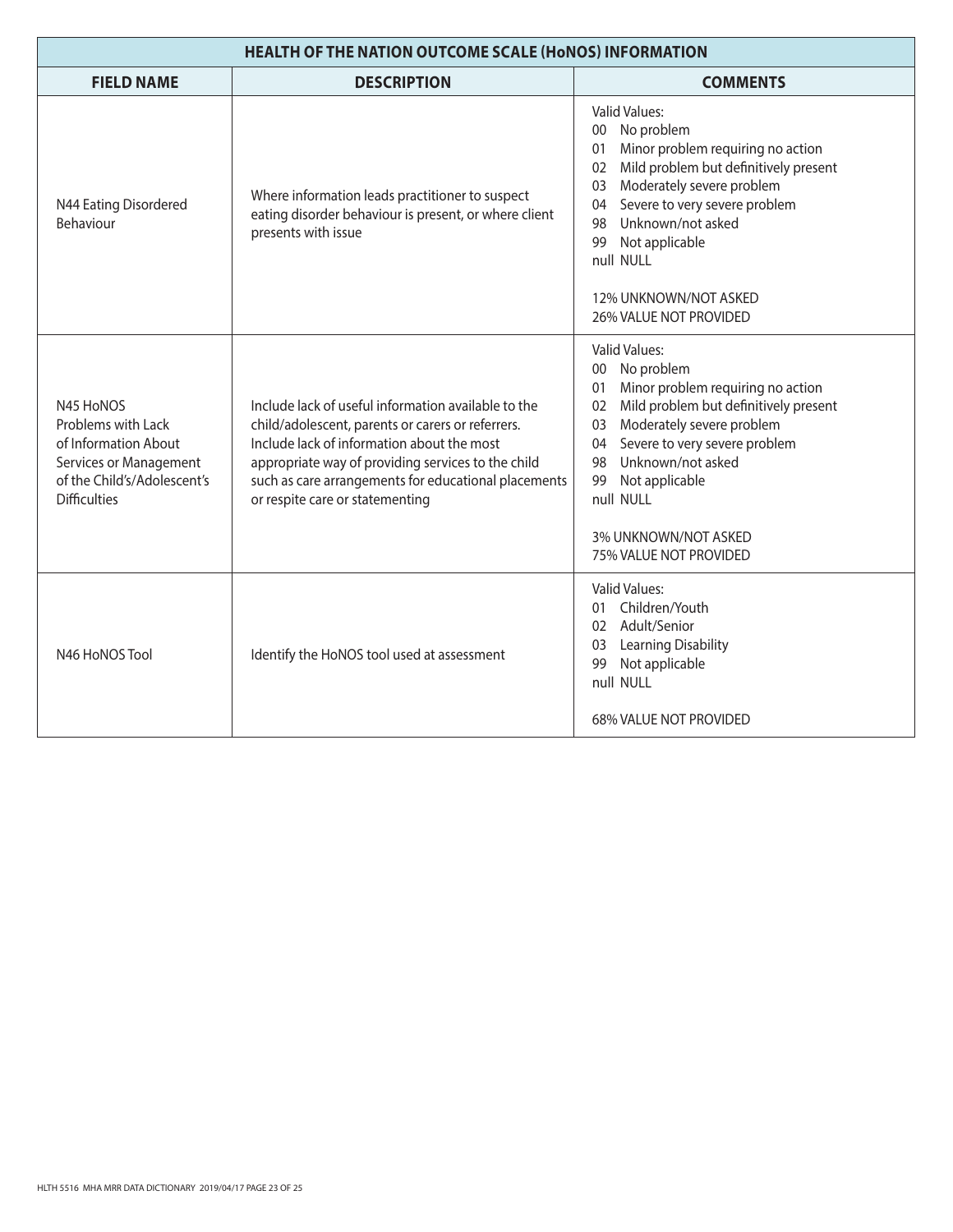| <b>HEALTH OF THE NATION OUTCOME SCALE (HONOS) INFORMATION</b>                                                                           |                                                                                                                                                                                                                                                                                                         |                                                                                                                                                                                                                                                                                                                                             |
|-----------------------------------------------------------------------------------------------------------------------------------------|---------------------------------------------------------------------------------------------------------------------------------------------------------------------------------------------------------------------------------------------------------------------------------------------------------|---------------------------------------------------------------------------------------------------------------------------------------------------------------------------------------------------------------------------------------------------------------------------------------------------------------------------------------------|
| <b>FIELD NAME</b>                                                                                                                       | <b>DESCRIPTION</b>                                                                                                                                                                                                                                                                                      | <b>COMMENTS</b>                                                                                                                                                                                                                                                                                                                             |
| N44 Eating Disordered<br>Behaviour                                                                                                      | Where information leads practitioner to suspect<br>eating disorder behaviour is present, or where client<br>presents with issue                                                                                                                                                                         | <b>Valid Values:</b><br>00 No problem<br>Minor problem requiring no action<br>01<br>Mild problem but definitively present<br>02<br>Moderately severe problem<br>03<br>Severe to very severe problem<br>04<br>Unknown/not asked<br>98<br>Not applicable<br>99<br>null NULL<br>12% UNKNOWN/NOT ASKED<br>26% VALUE NOT PROVIDED                |
| N45 HoNOS<br>Problems with Lack<br>of Information About<br>Services or Management<br>of the Child's/Adolescent's<br><b>Difficulties</b> | Include lack of useful information available to the<br>child/adolescent, parents or carers or referrers.<br>Include lack of information about the most<br>appropriate way of providing services to the child<br>such as care arrangements for educational placements<br>or respite care or statementing | <b>Valid Values:</b><br>No problem<br>00 <sup>°</sup><br>Minor problem requiring no action<br>01<br>Mild problem but definitively present<br>02<br>Moderately severe problem<br>03<br>Severe to very severe problem<br>04<br>Unknown/not asked<br>98<br>99<br>Not applicable<br>null NULL<br>3% UNKNOWN/NOT ASKED<br>75% VALUE NOT PROVIDED |
| N46 HoNOS Tool                                                                                                                          | Identify the HoNOS tool used at assessment                                                                                                                                                                                                                                                              | <b>Valid Values:</b><br>01 Children/Youth<br>02 Adult/Senior<br>Learning Disability<br>03<br>Not applicable<br>99<br>null NULL<br>68% VALUE NOT PROVIDED                                                                                                                                                                                    |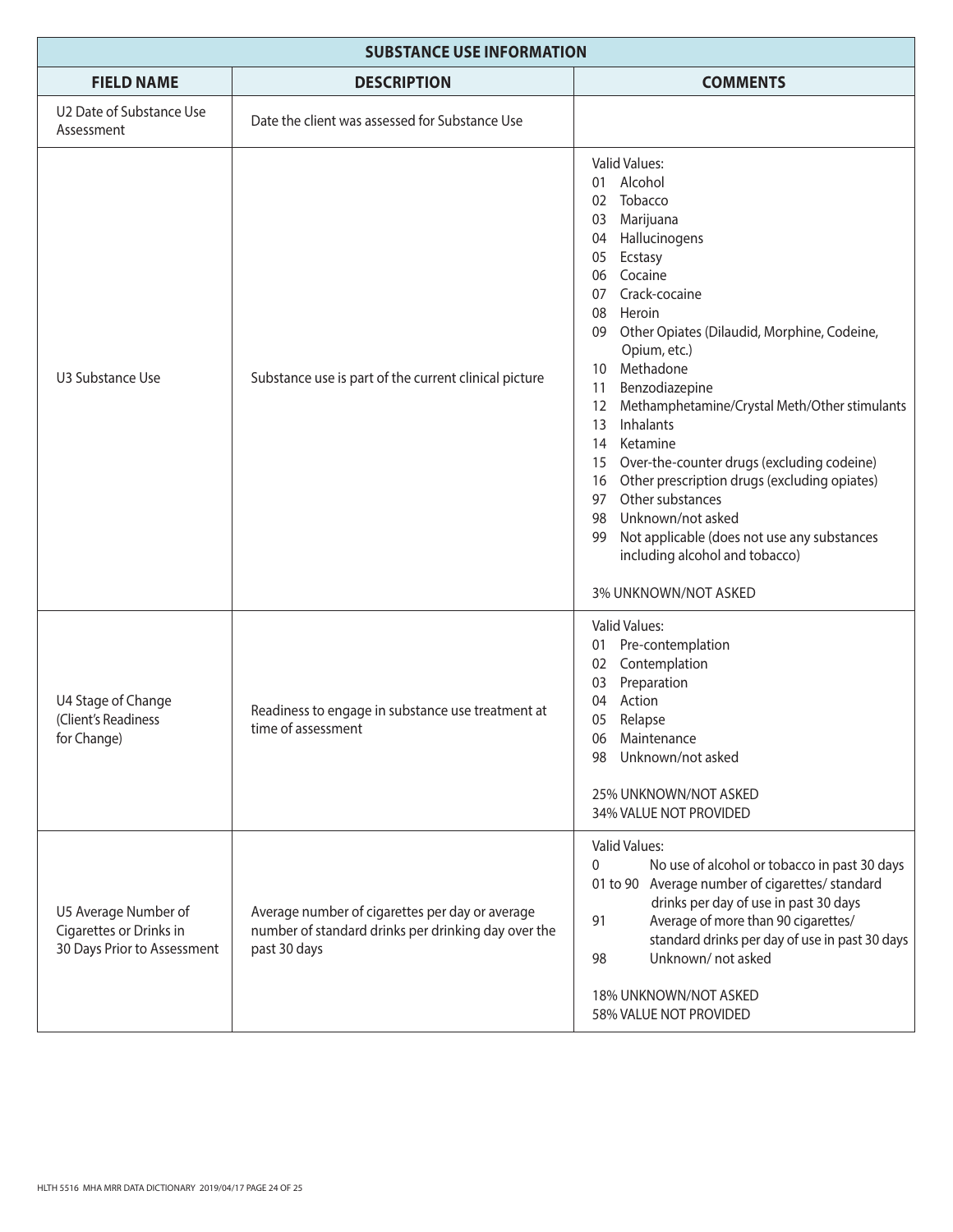| <b>SUBSTANCE USE INFORMATION</b>                                               |                                                                                                                        |                                                                                                                                                                                                                                                                                                                                                                                                                                                                                                                                                                                                                                                                        |
|--------------------------------------------------------------------------------|------------------------------------------------------------------------------------------------------------------------|------------------------------------------------------------------------------------------------------------------------------------------------------------------------------------------------------------------------------------------------------------------------------------------------------------------------------------------------------------------------------------------------------------------------------------------------------------------------------------------------------------------------------------------------------------------------------------------------------------------------------------------------------------------------|
| <b>FIELD NAME</b>                                                              | <b>DESCRIPTION</b>                                                                                                     | <b>COMMENTS</b>                                                                                                                                                                                                                                                                                                                                                                                                                                                                                                                                                                                                                                                        |
| U2 Date of Substance Use<br>Assessment                                         | Date the client was assessed for Substance Use                                                                         |                                                                                                                                                                                                                                                                                                                                                                                                                                                                                                                                                                                                                                                                        |
| U3 Substance Use                                                               | Substance use is part of the current clinical picture                                                                  | <b>Valid Values:</b><br>01 Alcohol<br>02 Tobacco<br>Marijuana<br>03<br>04 Hallucinogens<br>05<br>Ecstasy<br>06 Cocaine<br>Crack-cocaine<br>07<br>Heroin<br>08<br>Other Opiates (Dilaudid, Morphine, Codeine,<br>09<br>Opium, etc.)<br>Methadone<br>10<br>Benzodiazepine<br>11<br>Methamphetamine/Crystal Meth/Other stimulants<br>$12 \overline{ }$<br>Inhalants<br>13<br>Ketamine<br>14<br>Over-the-counter drugs (excluding codeine)<br>15<br>Other prescription drugs (excluding opiates)<br>16<br>Other substances<br>97<br>Unknown/not asked<br>98<br>Not applicable (does not use any substances<br>99<br>including alcohol and tobacco)<br>3% UNKNOWN/NOT ASKED |
| U4 Stage of Change<br>(Client's Readiness<br>for Change)                       | Readiness to engage in substance use treatment at<br>time of assessment                                                | <b>Valid Values:</b><br>Pre-contemplation<br>01<br>Contemplation<br>02<br>Preparation<br>03<br>Action<br>04<br>05<br>Relapse<br>Maintenance<br>06<br>Unknown/not asked<br>98<br>25% UNKNOWN/NOT ASKED<br>34% VALUE NOT PROVIDED                                                                                                                                                                                                                                                                                                                                                                                                                                        |
| U5 Average Number of<br>Cigarettes or Drinks in<br>30 Days Prior to Assessment | Average number of cigarettes per day or average<br>number of standard drinks per drinking day over the<br>past 30 days | Valid Values:<br>No use of alcohol or tobacco in past 30 days<br>0<br>01 to 90 Average number of cigarettes/ standard<br>drinks per day of use in past 30 days<br>Average of more than 90 cigarettes/<br>91<br>standard drinks per day of use in past 30 days<br>Unknown/not asked<br>98<br>18% UNKNOWN/NOT ASKED<br>58% VALUE NOT PROVIDED                                                                                                                                                                                                                                                                                                                            |